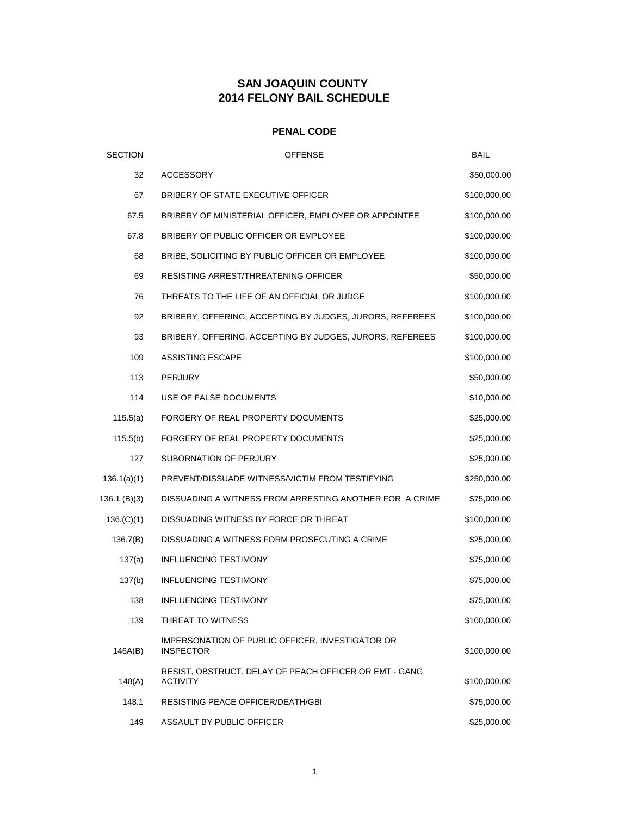# **SAN JOAQUIN COUNTY 2014 FELONY BAIL SCHEDULE**

### **PENAL CODE**

| <b>SECTION</b> | <b>OFFENSE</b>                                                            | BAIL         |
|----------------|---------------------------------------------------------------------------|--------------|
| 32             | <b>ACCESSORY</b>                                                          | \$50,000.00  |
| 67             | BRIBERY OF STATE EXECUTIVE OFFICER                                        | \$100,000.00 |
| 67.5           | BRIBERY OF MINISTERIAL OFFICER, EMPLOYEE OR APPOINTEE                     | \$100,000.00 |
| 67.8           | BRIBERY OF PUBLIC OFFICER OR EMPLOYEE                                     | \$100,000.00 |
| 68             | BRIBE, SOLICITING BY PUBLIC OFFICER OR EMPLOYEE                           | \$100,000.00 |
| 69             | RESISTING ARREST/THREATENING OFFICER                                      | \$50,000.00  |
| 76             | THREATS TO THE LIFE OF AN OFFICIAL OR JUDGE                               | \$100,000.00 |
| 92             | BRIBERY, OFFERING, ACCEPTING BY JUDGES, JURORS, REFEREES                  | \$100,000.00 |
| 93             | BRIBERY, OFFERING, ACCEPTING BY JUDGES, JURORS, REFEREES                  | \$100,000.00 |
| 109            | <b>ASSISTING ESCAPE</b>                                                   | \$100,000.00 |
| 113            | <b>PERJURY</b>                                                            | \$50,000.00  |
| 114            | USE OF FALSE DOCUMENTS                                                    | \$10,000.00  |
| 115.5(a)       | FORGERY OF REAL PROPERTY DOCUMENTS                                        | \$25,000.00  |
| 115.5(b)       | FORGERY OF REAL PROPERTY DOCUMENTS                                        | \$25,000.00  |
| 127            | SUBORNATION OF PERJURY                                                    | \$25,000.00  |
| 136.1(a)(1)    | PREVENT/DISSUADE WITNESS/VICTIM FROM TESTIFYING                           | \$250,000.00 |
| 136.1 (B)(3)   | DISSUADING A WITNESS FROM ARRESTING ANOTHER FOR A CRIME                   | \$75,000.00  |
| 136.(C)(1)     | DISSUADING WITNESS BY FORCE OR THREAT                                     | \$100,000.00 |
| 136.7(B)       | DISSUADING A WITNESS FORM PROSECUTING A CRIME                             | \$25,000.00  |
| 137(a)         | <b>INFLUENCING TESTIMONY</b>                                              | \$75,000.00  |
| 137(b)         | <b>INFLUENCING TESTIMONY</b>                                              | \$75,000.00  |
| 138            | <b>INFLUENCING TESTIMONY</b>                                              | \$75,000.00  |
| 139            | THREAT TO WITNESS                                                         | \$100,000.00 |
| 146A(B)        | IMPERSONATION OF PUBLIC OFFICER, INVESTIGATOR OR<br><b>INSPECTOR</b>      | \$100,000.00 |
| 148(A)         | RESIST, OBSTRUCT, DELAY OF PEACH OFFICER OR EMT - GANG<br><b>ACTIVITY</b> | \$100,000.00 |
| 148.1          | RESISTING PEACE OFFICER/DEATH/GBI                                         | \$75,000.00  |
| 149            | ASSAULT BY PUBLIC OFFICER                                                 | \$25,000.00  |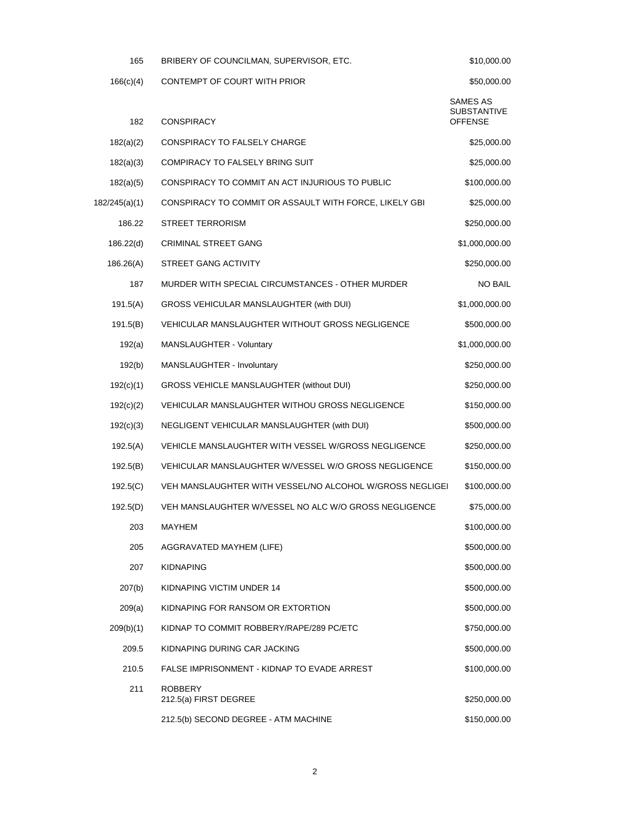| 165           | BRIBERY OF COUNCILMAN, SUPERVISOR, ETC.                  | \$10,000.00                               |  |
|---------------|----------------------------------------------------------|-------------------------------------------|--|
| 166(c)(4)     | CONTEMPT OF COURT WITH PRIOR                             | \$50,000.00                               |  |
| 182           | <b>CONSPIRACY</b>                                        | SAMES AS<br>SUBSTANTIVE<br><b>OFFENSE</b> |  |
| 182(a)(2)     | CONSPIRACY TO FALSELY CHARGE                             | \$25,000.00                               |  |
| 182(a)(3)     | COMPIRACY TO FALSELY BRING SUIT                          | \$25,000.00                               |  |
| 182(a)(5)     | CONSPIRACY TO COMMIT AN ACT INJURIOUS TO PUBLIC          | \$100,000.00                              |  |
| 182/245(a)(1) | CONSPIRACY TO COMMIT OR ASSAULT WITH FORCE, LIKELY GBI   | \$25,000.00                               |  |
| 186.22        | <b>STREET TERRORISM</b>                                  | \$250,000.00                              |  |
| 186.22(d)     | <b>CRIMINAL STREET GANG</b>                              | \$1,000,000.00                            |  |
| 186.26(A)     | STREET GANG ACTIVITY                                     | \$250,000.00                              |  |
| 187           | MURDER WITH SPECIAL CIRCUMSTANCES - OTHER MURDER         | <b>NO BAIL</b>                            |  |
| 191.5(A)      | GROSS VEHICULAR MANSLAUGHTER (with DUI)                  | \$1,000,000.00                            |  |
| 191.5(B)      | VEHICULAR MANSLAUGHTER WITHOUT GROSS NEGLIGENCE          | \$500,000.00                              |  |
| 192(a)        | MANSLAUGHTER - Voluntary                                 | \$1,000,000.00                            |  |
| 192(b)        | MANSLAUGHTER - Involuntary                               | \$250,000.00                              |  |
| 192(c)(1)     | GROSS VEHICLE MANSLAUGHTER (without DUI)                 | \$250,000.00                              |  |
| 192(c)(2)     | VEHICULAR MANSLAUGHTER WITHOU GROSS NEGLIGENCE           | \$150,000.00                              |  |
| 192(c)(3)     | NEGLIGENT VEHICULAR MANSLAUGHTER (with DUI)              | \$500,000.00                              |  |
| 192.5(A)      | VEHICLE MANSLAUGHTER WITH VESSEL W/GROSS NEGLIGENCE      | \$250,000.00                              |  |
| 192.5(B)      | VEHICULAR MANSLAUGHTER W/VESSEL W/O GROSS NEGLIGENCE     | \$150,000.00                              |  |
| 192.5(C)      | VEH MANSLAUGHTER WITH VESSEL/NO ALCOHOL W/GROSS NEGLIGEI | \$100,000.00                              |  |
| 192.5(D)      | VEH MANSLAUGHTER W/VESSEL NO ALC W/O GROSS NEGLIGENCE    | \$75,000.00                               |  |
| 203           | MAYHEM                                                   | \$100,000.00                              |  |
| 205           | AGGRAVATED MAYHEM (LIFE)                                 | \$500,000.00                              |  |
| 207           | <b>KIDNAPING</b>                                         | \$500,000.00                              |  |
| 207(b)        | KIDNAPING VICTIM UNDER 14                                | \$500,000.00                              |  |
| 209(a)        | KIDNAPING FOR RANSOM OR EXTORTION                        | \$500,000.00                              |  |
| 209(b)(1)     | KIDNAP TO COMMIT ROBBERY/RAPE/289 PC/ETC                 | \$750,000.00                              |  |
| 209.5         | KIDNAPING DURING CAR JACKING                             | \$500,000.00                              |  |
| 210.5         | FALSE IMPRISONMENT - KIDNAP TO EVADE ARREST              | \$100,000.00                              |  |
| 211           | <b>ROBBERY</b><br>212.5(a) FIRST DEGREE                  | \$250,000.00                              |  |
|               | 212.5(b) SECOND DEGREE - ATM MACHINE                     | \$150,000.00                              |  |
|               |                                                          |                                           |  |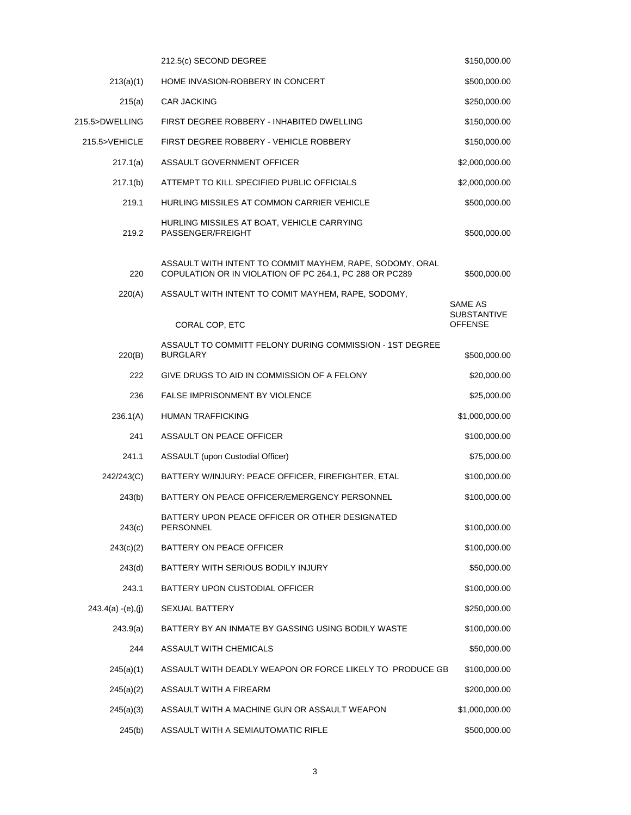|                       | 212.5(c) SECOND DEGREE                                                                                              | \$150,000.00                         |
|-----------------------|---------------------------------------------------------------------------------------------------------------------|--------------------------------------|
| 213(a)(1)             | HOME INVASION-ROBBERY IN CONCERT                                                                                    | \$500,000.00                         |
| 215(a)                | CAR JACKING                                                                                                         | \$250,000.00                         |
| 215.5>DWELLING        | FIRST DEGREE ROBBERY - INHABITED DWELLING                                                                           | \$150,000.00                         |
| 215.5>VEHICLE         | FIRST DEGREE ROBBERY - VEHICLE ROBBERY                                                                              | \$150,000.00                         |
| 217.1(a)              | ASSAULT GOVERNMENT OFFICER                                                                                          | \$2,000,000.00                       |
| 217.1(b)              | ATTEMPT TO KILL SPECIFIED PUBLIC OFFICIALS                                                                          | \$2,000,000.00                       |
| 219.1                 | HURLING MISSILES AT COMMON CARRIER VEHICLE                                                                          | \$500,000.00                         |
| 219.2                 | HURLING MISSILES AT BOAT, VEHICLE CARRYING<br>PASSENGER/FREIGHT                                                     | \$500,000.00                         |
| 220                   | ASSAULT WITH INTENT TO COMMIT MAYHEM, RAPE, SODOMY, ORAL<br>COPULATION OR IN VIOLATION OF PC 264.1, PC 288 OR PC289 | \$500,000.00                         |
| 220(A)                | ASSAULT WITH INTENT TO COMIT MAYHEM, RAPE, SODOMY,                                                                  | SAME AS                              |
|                       | CORAL COP, ETC                                                                                                      | <b>SUBSTANTIVE</b><br><b>OFFENSE</b> |
| 220(B)                | ASSAULT TO COMMITT FELONY DURING COMMISSION - 1ST DEGREE<br><b>BURGLARY</b>                                         | \$500,000.00                         |
| 222                   | GIVE DRUGS TO AID IN COMMISSION OF A FELONY                                                                         | \$20,000.00                          |
| 236                   | <b>FALSE IMPRISONMENT BY VIOLENCE</b>                                                                               | \$25,000.00                          |
| 236.1(A)              | HUMAN TRAFFICKING                                                                                                   | \$1,000,000.00                       |
| 241                   | ASSAULT ON PEACE OFFICER                                                                                            | \$100,000.00                         |
| 241.1                 | ASSAULT (upon Custodial Officer)                                                                                    | \$75,000.00                          |
| 242/243(C)            | BATTERY W/INJURY: PEACE OFFICER, FIREFIGHTER, ETAL                                                                  | \$100,000.00                         |
| 243(b)                | BATTERY ON PEACE OFFICER/EMERGENCY PERSONNEL                                                                        | \$100,000.00                         |
| 243(c)                | BATTERY UPON PEACE OFFICER OR OTHER DESIGNATED<br><b>PERSONNEL</b>                                                  | \$100,000.00                         |
| 243(c)(2)             | BATTERY ON PEACE OFFICER                                                                                            | \$100,000.00                         |
| 243(d)                | BATTERY WITH SERIOUS BODILY INJURY                                                                                  | \$50,000.00                          |
| 243.1                 | BATTERY UPON CUSTODIAL OFFICER                                                                                      | \$100,000.00                         |
| $243.4(a) - (e), (j)$ | <b>SEXUAL BATTERY</b>                                                                                               | \$250,000.00                         |
| 243.9(a)              | BATTERY BY AN INMATE BY GASSING USING BODILY WASTE                                                                  | \$100,000.00                         |
| 244                   | ASSAULT WITH CHEMICALS                                                                                              | \$50,000.00                          |
| 245(a)(1)             | ASSAULT WITH DEADLY WEAPON OR FORCE LIKELY TO PRODUCE GB                                                            | \$100,000.00                         |
| 245(a)(2)             | ASSAULT WITH A FIREARM                                                                                              | \$200,000.00                         |
| 245(a)(3)             | ASSAULT WITH A MACHINE GUN OR ASSAULT WEAPON                                                                        | \$1,000,000.00                       |
| 245(b)                | ASSAULT WITH A SEMIAUTOMATIC RIFLE                                                                                  | \$500,000.00                         |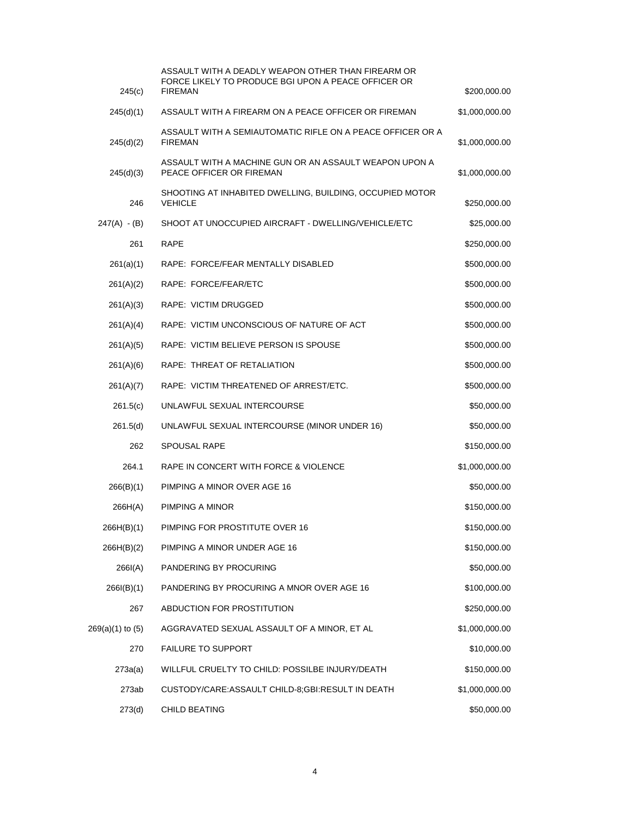| 245(c)           | ASSAULT WITH A DEADLY WEAPON OTHER THAN FIREARM OR<br>FORCE LIKELY TO PRODUCE BGI UPON A PEACE OFFICER OR<br><b>FIREMAN</b> | \$200,000.00   |
|------------------|-----------------------------------------------------------------------------------------------------------------------------|----------------|
|                  |                                                                                                                             |                |
| 245(d)(1)        | ASSAULT WITH A FIREARM ON A PEACE OFFICER OR FIREMAN                                                                        | \$1,000,000.00 |
| 245(d)(2)        | ASSAULT WITH A SEMIAUTOMATIC RIFLE ON A PEACE OFFICER OR A<br><b>FIREMAN</b>                                                | \$1,000,000.00 |
| 245(d)(3)        | ASSAULT WITH A MACHINE GUN OR AN ASSAULT WEAPON UPON A<br>PEACE OFFICER OR FIREMAN                                          | \$1,000,000.00 |
| 246              | SHOOTING AT INHABITED DWELLING, BUILDING, OCCUPIED MOTOR<br><b>VEHICLE</b>                                                  | \$250,000.00   |
| 247(A) - (B)     | SHOOT AT UNOCCUPIED AIRCRAFT - DWELLING/VEHICLE/ETC                                                                         | \$25,000.00    |
| 261              | <b>RAPE</b>                                                                                                                 | \$250,000.00   |
| 261(a)(1)        | RAPE: FORCE/FEAR MENTALLY DISABLED                                                                                          | \$500,000.00   |
| 261(A)(2)        | RAPE: FORCE/FEAR/ETC                                                                                                        | \$500,000.00   |
| 261(A)(3)        | <b>RAPE: VICTIM DRUGGED</b>                                                                                                 | \$500,000.00   |
| 261(A)(4)        | RAPE: VICTIM UNCONSCIOUS OF NATURE OF ACT                                                                                   | \$500,000.00   |
| 261(A)(5)        | RAPE: VICTIM BELIEVE PERSON IS SPOUSE                                                                                       | \$500,000.00   |
| 261(A)(6)        | RAPE: THREAT OF RETALIATION                                                                                                 | \$500,000.00   |
| 261(A)(7)        | RAPE: VICTIM THREATENED OF ARREST/ETC.                                                                                      | \$500,000.00   |
| 261.5(c)         | UNLAWFUL SEXUAL INTERCOURSE                                                                                                 | \$50,000.00    |
| 261.5(d)         | UNLAWFUL SEXUAL INTERCOURSE (MINOR UNDER 16)                                                                                | \$50,000.00    |
| 262              | <b>SPOUSAL RAPE</b>                                                                                                         | \$150,000.00   |
| 264.1            | RAPE IN CONCERT WITH FORCE & VIOLENCE                                                                                       | \$1,000,000.00 |
| 266(B)(1)        | PIMPING A MINOR OVER AGE 16                                                                                                 | \$50,000.00    |
| 266H(A)          | PIMPING A MINOR                                                                                                             | \$150,000.00   |
| 266H(B)(1)       | PIMPING FOR PROSTITUTE OVER 16                                                                                              | \$150,000.00   |
| 266H(B)(2)       | PIMPING A MINOR UNDER AGE 16                                                                                                | \$150,000.00   |
| 266I(A)          | PANDERING BY PROCURING                                                                                                      | \$50,000.00    |
| 266I(B)(1)       | PANDERING BY PROCURING A MNOR OVER AGE 16                                                                                   | \$100,000.00   |
| 267              | ABDUCTION FOR PROSTITUTION                                                                                                  | \$250,000.00   |
| 269(a)(1) to (5) | AGGRAVATED SEXUAL ASSAULT OF A MINOR, ET AL                                                                                 | \$1,000,000.00 |
| 270              | <b>FAILURE TO SUPPORT</b>                                                                                                   | \$10,000.00    |
| 273a(a)          | WILLFUL CRUELTY TO CHILD: POSSILBE INJURY/DEATH                                                                             | \$150,000.00   |
| 273ab            | CUSTODY/CARE:ASSAULT CHILD-8;GBI:RESULT IN DEATH                                                                            | \$1,000,000.00 |
| 273(d)           | CHILD BEATING                                                                                                               | \$50,000.00    |
|                  |                                                                                                                             |                |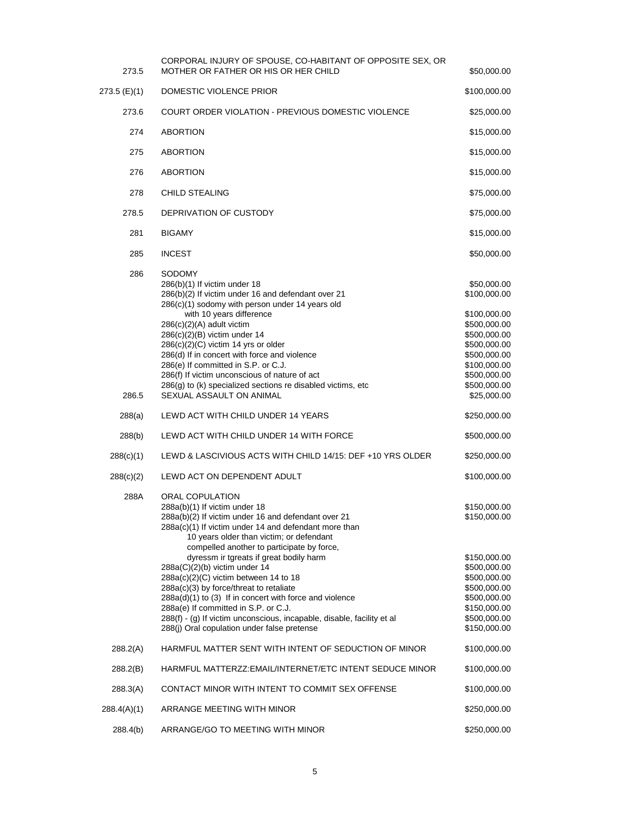| 273.5                            | CORPORAL INJURY OF SPOUSE, CO-HABITANT OF OPPOSITE SEX, OR<br>MOTHER OR FATHER OR HIS OR HER CHILD                                                                                                                                                                                                                                                                                                                                                                                                                                                                                                                                                       | \$50,000.00                                                                                                                                                                                                |
|----------------------------------|----------------------------------------------------------------------------------------------------------------------------------------------------------------------------------------------------------------------------------------------------------------------------------------------------------------------------------------------------------------------------------------------------------------------------------------------------------------------------------------------------------------------------------------------------------------------------------------------------------------------------------------------------------|------------------------------------------------------------------------------------------------------------------------------------------------------------------------------------------------------------|
| 273.5 (E)(1)                     | DOMESTIC VIOLENCE PRIOR                                                                                                                                                                                                                                                                                                                                                                                                                                                                                                                                                                                                                                  | \$100,000.00                                                                                                                                                                                               |
| 273.6                            | <b>COURT ORDER VIOLATION - PREVIOUS DOMESTIC VIOLENCE</b>                                                                                                                                                                                                                                                                                                                                                                                                                                                                                                                                                                                                | \$25,000.00                                                                                                                                                                                                |
| 274                              | <b>ABORTION</b>                                                                                                                                                                                                                                                                                                                                                                                                                                                                                                                                                                                                                                          | \$15,000.00                                                                                                                                                                                                |
| 275                              | <b>ABORTION</b>                                                                                                                                                                                                                                                                                                                                                                                                                                                                                                                                                                                                                                          | \$15,000.00                                                                                                                                                                                                |
| 276                              | <b>ABORTION</b>                                                                                                                                                                                                                                                                                                                                                                                                                                                                                                                                                                                                                                          | \$15,000.00                                                                                                                                                                                                |
| 278                              | <b>CHILD STEALING</b>                                                                                                                                                                                                                                                                                                                                                                                                                                                                                                                                                                                                                                    | \$75,000.00                                                                                                                                                                                                |
| 278.5                            | DEPRIVATION OF CUSTODY                                                                                                                                                                                                                                                                                                                                                                                                                                                                                                                                                                                                                                   | \$75,000.00                                                                                                                                                                                                |
| 281                              | <b>BIGAMY</b>                                                                                                                                                                                                                                                                                                                                                                                                                                                                                                                                                                                                                                            | \$15,000.00                                                                                                                                                                                                |
| 285                              | <b>INCEST</b>                                                                                                                                                                                                                                                                                                                                                                                                                                                                                                                                                                                                                                            | \$50,000.00                                                                                                                                                                                                |
| 286<br>286.5<br>288(a)<br>288(b) | SODOMY<br>286(b)(1) If victim under 18<br>286(b)(2) If victim under 16 and defendant over 21<br>286(c)(1) sodomy with person under 14 years old<br>with 10 years difference<br>286(c)(2)(A) adult victim<br>286(c)(2)(B) victim under 14<br>$286(c)(2)(C)$ victim 14 yrs or older<br>286(d) If in concert with force and violence<br>286(e) If committed in S.P. or C.J.<br>286(f) If victim unconscious of nature of act<br>286(g) to (k) specialized sections re disabled victims, etc<br>SEXUAL ASSAULT ON ANIMAL<br>LEWD ACT WITH CHILD UNDER 14 YEARS<br>LEWD ACT WITH CHILD UNDER 14 WITH FORCE                                                    | \$50,000.00<br>\$100,000.00<br>\$100,000.00<br>\$500,000.00<br>\$500,000.00<br>\$500,000.00<br>\$500,000.00<br>\$100,000.00<br>\$500,000.00<br>\$500,000.00<br>\$25,000.00<br>\$250,000.00<br>\$500,000.00 |
| 288(c)(1)                        | LEWD & LASCIVIOUS ACTS WITH CHILD 14/15: DEF +10 YRS OLDER                                                                                                                                                                                                                                                                                                                                                                                                                                                                                                                                                                                               | \$250,000.00                                                                                                                                                                                               |
| 288(c)(2)                        | LEWD ACT ON DEPENDENT ADULT                                                                                                                                                                                                                                                                                                                                                                                                                                                                                                                                                                                                                              | \$100,000.00                                                                                                                                                                                               |
| 288A                             | ORAL COPULATION<br>288a(b)(1) If victim under 18<br>288a(b)(2) If victim under 16 and defendant over 21<br>288a(c)(1) If victim under 14 and defendant more than<br>10 years older than victim; or defendant<br>compelled another to participate by force,<br>dyressm ir tgreats if great bodily harm<br>288a(C)(2)(b) victim under 14<br>$288a(c)(2)(C)$ victim between 14 to 18<br>288a(c)(3) by force/threat to retaliate<br>288a(d)(1) to (3) If in concert with force and violence<br>288a(e) If committed in S.P. or C.J.<br>288(f) - (g) If victim unconscious, incapable, disable, facility et al<br>288(i) Oral copulation under false pretense | \$150,000.00<br>\$150,000.00<br>\$150,000.00<br>\$500,000.00<br>\$500,000.00<br>\$500,000.00<br>\$500,000.00<br>\$150,000.00<br>\$500,000.00<br>\$150,000.00                                               |
| 288.2(A)                         | HARMFUL MATTER SENT WITH INTENT OF SEDUCTION OF MINOR                                                                                                                                                                                                                                                                                                                                                                                                                                                                                                                                                                                                    | \$100,000.00                                                                                                                                                                                               |
| 288.2(B)                         | HARMFUL MATTERZZ: EMAIL/INTERNET/ETC INTENT SEDUCE MINOR                                                                                                                                                                                                                                                                                                                                                                                                                                                                                                                                                                                                 | \$100,000.00                                                                                                                                                                                               |
| 288.3(A)                         | CONTACT MINOR WITH INTENT TO COMMIT SEX OFFENSE                                                                                                                                                                                                                                                                                                                                                                                                                                                                                                                                                                                                          | \$100,000.00                                                                                                                                                                                               |
| 288.4(A)(1)                      | ARRANGE MEETING WITH MINOR                                                                                                                                                                                                                                                                                                                                                                                                                                                                                                                                                                                                                               | \$250,000.00                                                                                                                                                                                               |
| 288.4(b)                         | ARRANGE/GO TO MEETING WITH MINOR                                                                                                                                                                                                                                                                                                                                                                                                                                                                                                                                                                                                                         | \$250,000.00                                                                                                                                                                                               |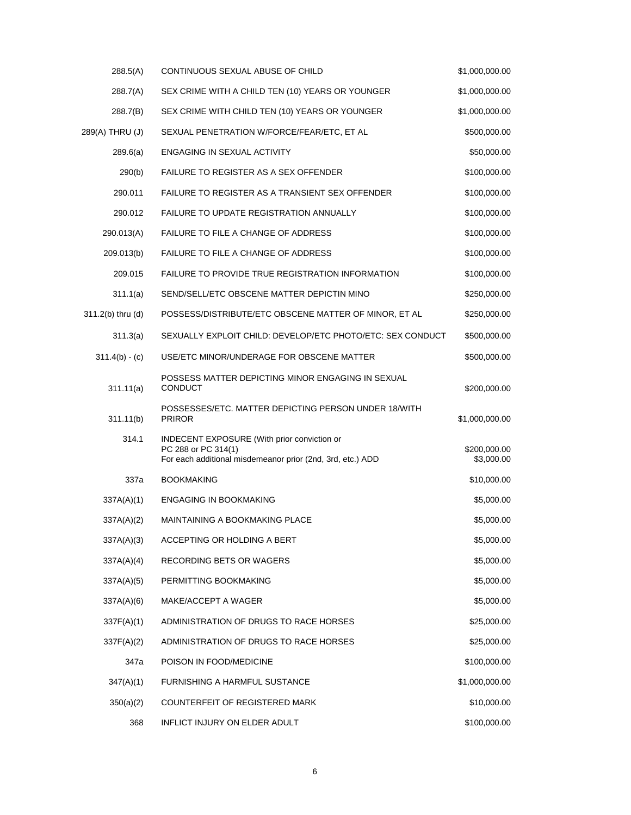| 288.5(A)          | CONTINUOUS SEXUAL ABUSE OF CHILD                                                                                                        | \$1,000,000.00             |
|-------------------|-----------------------------------------------------------------------------------------------------------------------------------------|----------------------------|
| 288.7(A)          | SEX CRIME WITH A CHILD TEN (10) YEARS OR YOUNGER                                                                                        | \$1,000,000.00             |
| 288.7(B)          | SEX CRIME WITH CHILD TEN (10) YEARS OR YOUNGER                                                                                          | \$1,000,000.00             |
| 289(A) THRU (J)   | SEXUAL PENETRATION W/FORCE/FEAR/ETC, ET AL                                                                                              | \$500,000.00               |
| 289.6(a)          | ENGAGING IN SEXUAL ACTIVITY                                                                                                             | \$50,000.00                |
| 290(b)            | FAILURE TO REGISTER AS A SEX OFFENDER                                                                                                   | \$100,000.00               |
| 290.011           | FAILURE TO REGISTER AS A TRANSIENT SEX OFFENDER                                                                                         | \$100,000.00               |
| 290.012           | FAILURE TO UPDATE REGISTRATION ANNUALLY                                                                                                 | \$100,000.00               |
| 290.013(A)        | FAILURE TO FILE A CHANGE OF ADDRESS                                                                                                     | \$100,000.00               |
| 209.013(b)        | FAILURE TO FILE A CHANGE OF ADDRESS                                                                                                     | \$100,000.00               |
| 209.015           | FAILURE TO PROVIDE TRUE REGISTRATION INFORMATION                                                                                        | \$100,000.00               |
| 311.1(a)          | SEND/SELL/ETC OBSCENE MATTER DEPICTIN MINO                                                                                              | \$250,000.00               |
| 311.2(b) thru (d) | POSSESS/DISTRIBUTE/ETC OBSCENE MATTER OF MINOR, ET AL                                                                                   | \$250,000.00               |
| 311.3(a)          | SEXUALLY EXPLOIT CHILD: DEVELOP/ETC PHOTO/ETC: SEX CONDUCT                                                                              | \$500,000.00               |
| $311.4(b) - (c)$  | USE/ETC MINOR/UNDERAGE FOR OBSCENE MATTER                                                                                               | \$500,000.00               |
| 311.11(a)         | POSSESS MATTER DEPICTING MINOR ENGAGING IN SEXUAL<br><b>CONDUCT</b>                                                                     | \$200,000.00               |
| 311.11(b)         | POSSESSES/ETC. MATTER DEPICTING PERSON UNDER 18/WITH<br><b>PRIROR</b>                                                                   | \$1,000,000.00             |
| 314.1             | <b>INDECENT EXPOSURE (With prior conviction or</b><br>PC 288 or PC 314(1)<br>For each additional misdemeanor prior (2nd, 3rd, etc.) ADD | \$200,000.00<br>\$3,000.00 |
| 337a              | <b>BOOKMAKING</b>                                                                                                                       | \$10,000.00                |
| 337A(A)(1)        | <b>ENGAGING IN BOOKMAKING</b>                                                                                                           | \$5,000.00                 |
| 337A(A)(2)        | MAINTAINING A BOOKMAKING PLACE                                                                                                          | \$5,000.00                 |
| 337A(A)(3)        | ACCEPTING OR HOLDING A BERT                                                                                                             | \$5,000.00                 |
| 337A(A)(4)        | <b>RECORDING BETS OR WAGERS</b>                                                                                                         | \$5,000.00                 |
| 337A(A)(5)        | PERMITTING BOOKMAKING                                                                                                                   | \$5,000.00                 |
| 337A(A)(6)        | MAKE/ACCEPT A WAGER                                                                                                                     | \$5,000.00                 |
| 337F(A)(1)        | ADMINISTRATION OF DRUGS TO RACE HORSES                                                                                                  | \$25,000.00                |
| 337F(A)(2)        | ADMINISTRATION OF DRUGS TO RACE HORSES                                                                                                  | \$25,000.00                |
| 347a              | POISON IN FOOD/MEDICINE                                                                                                                 | \$100,000.00               |
| 347(A)(1)         | <b>FURNISHING A HARMFUL SUSTANCE</b>                                                                                                    | \$1,000,000.00             |
| 350(a)(2)         | COUNTERFEIT OF REGISTERED MARK                                                                                                          | \$10,000.00                |
| 368               | INFLICT INJURY ON ELDER ADULT                                                                                                           | \$100,000.00               |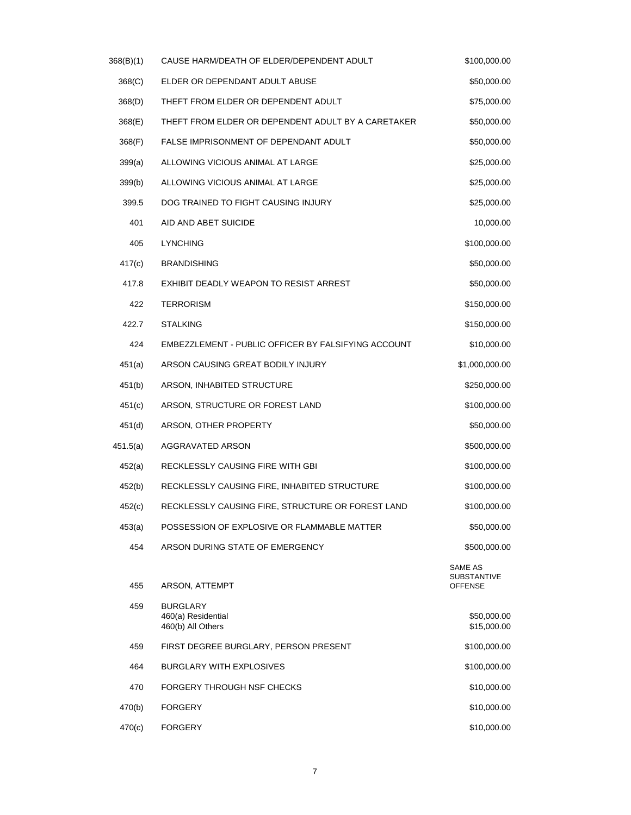| 368(B)(1) | CAUSE HARM/DEATH OF ELDER/DEPENDENT ADULT                  | \$100,000.00                                    |
|-----------|------------------------------------------------------------|-------------------------------------------------|
| 368(C)    | ELDER OR DEPENDANT ADULT ABUSE                             | \$50,000.00                                     |
| 368(D)    | THEFT FROM ELDER OR DEPENDENT ADULT                        | \$75,000.00                                     |
| 368(E)    | THEFT FROM ELDER OR DEPENDENT ADULT BY A CARETAKER         | \$50,000.00                                     |
| 368(F)    | FALSE IMPRISONMENT OF DEPENDANT ADULT                      | \$50,000.00                                     |
| 399(a)    | ALLOWING VICIOUS ANIMAL AT LARGE                           | \$25,000.00                                     |
| 399(b)    | ALLOWING VICIOUS ANIMAL AT LARGE                           | \$25,000.00                                     |
| 399.5     | DOG TRAINED TO FIGHT CAUSING INJURY                        | \$25,000.00                                     |
| 401       | AID AND ABET SUICIDE                                       | 10,000.00                                       |
| 405       | <b>LYNCHING</b>                                            | \$100,000.00                                    |
| 417(c)    | <b>BRANDISHING</b>                                         | \$50,000.00                                     |
| 417.8     | EXHIBIT DEADLY WEAPON TO RESIST ARREST                     | \$50,000.00                                     |
| 422       | <b>TERRORISM</b>                                           | \$150,000.00                                    |
| 422.7     | <b>STALKING</b>                                            | \$150,000.00                                    |
| 424       | EMBEZZLEMENT - PUBLIC OFFICER BY FALSIFYING ACCOUNT        | \$10,000.00                                     |
| 451(a)    | ARSON CAUSING GREAT BODILY INJURY                          | \$1,000,000.00                                  |
| 451(b)    | ARSON, INHABITED STRUCTURE                                 | \$250,000.00                                    |
| 451(c)    | ARSON, STRUCTURE OR FOREST LAND                            | \$100,000.00                                    |
| 451(d)    | ARSON, OTHER PROPERTY                                      | \$50,000.00                                     |
| 451.5(a)  | AGGRAVATED ARSON                                           | \$500,000.00                                    |
| 452(a)    | RECKLESSLY CAUSING FIRE WITH GBI                           | \$100,000.00                                    |
| 452(b)    | RECKLESSLY CAUSING FIRE, INHABITED STRUCTURE               | \$100,000.00                                    |
| 452(c)    | RECKLESSLY CAUSING FIRE, STRUCTURE OR FOREST LAND          | \$100,000.00                                    |
| 453(a)    | POSSESSION OF EXPLOSIVE OR FLAMMABLE MATTER                | \$50,000.00                                     |
| 454       | ARSON DURING STATE OF EMERGENCY                            | \$500,000.00                                    |
| 455       | ARSON, ATTEMPT                                             | SAME AS<br><b>SUBSTANTIVE</b><br><b>OFFENSE</b> |
| 459       | <b>BURGLARY</b><br>460(a) Residential<br>460(b) All Others | \$50,000.00<br>\$15,000.00                      |
| 459       | FIRST DEGREE BURGLARY, PERSON PRESENT                      | \$100,000.00                                    |
| 464       | <b>BURGLARY WITH EXPLOSIVES</b>                            | \$100,000.00                                    |
| 470       | FORGERY THROUGH NSF CHECKS                                 | \$10,000.00                                     |
| 470(b)    | <b>FORGERY</b>                                             | \$10,000.00                                     |
| 470(c)    | <b>FORGERY</b>                                             | \$10,000.00                                     |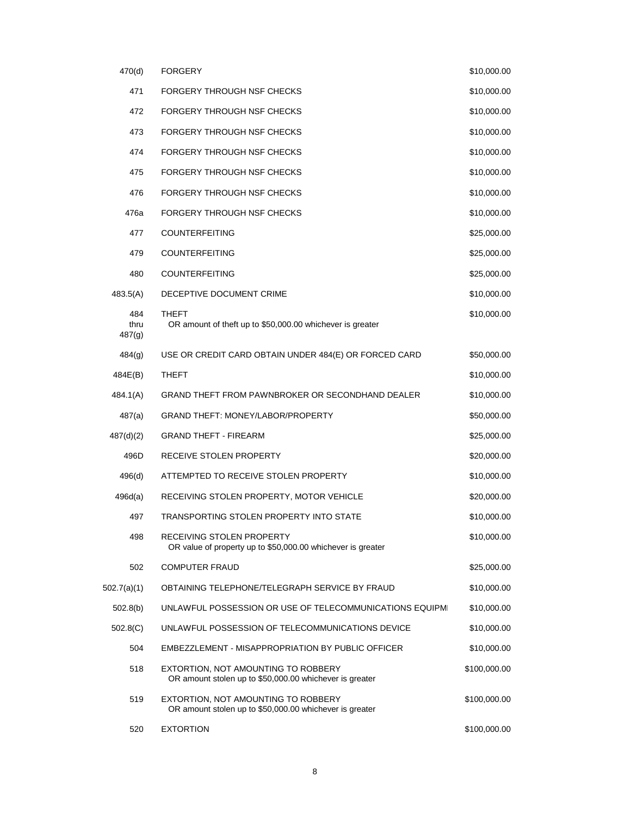| 470(d)                | <b>FORGERY</b>                                                                                 | \$10,000.00  |
|-----------------------|------------------------------------------------------------------------------------------------|--------------|
| 471                   | FORGERY THROUGH NSF CHECKS                                                                     | \$10,000.00  |
| 472                   | FORGERY THROUGH NSF CHECKS                                                                     | \$10,000.00  |
| 473                   | FORGERY THROUGH NSF CHECKS                                                                     | \$10,000.00  |
| 474                   | FORGERY THROUGH NSF CHECKS                                                                     | \$10,000.00  |
| 475                   | <b>FORGERY THROUGH NSF CHECKS</b>                                                              | \$10,000.00  |
| 476                   | FORGERY THROUGH NSF CHECKS                                                                     | \$10,000.00  |
| 476a                  | FORGERY THROUGH NSF CHECKS                                                                     | \$10,000.00  |
| 477                   | <b>COUNTERFEITING</b>                                                                          | \$25,000.00  |
| 479                   | <b>COUNTERFEITING</b>                                                                          | \$25,000.00  |
| 480                   | <b>COUNTERFEITING</b>                                                                          | \$25,000.00  |
| 483.5(A)              | DECEPTIVE DOCUMENT CRIME                                                                       | \$10,000.00  |
| 484<br>thru<br>487(g) | <b>THEFT</b><br>OR amount of theft up to \$50,000.00 whichever is greater                      | \$10,000.00  |
| 484(g)                | USE OR CREDIT CARD OBTAIN UNDER 484(E) OR FORCED CARD                                          | \$50,000.00  |
| 484E(B)               | THEFT                                                                                          | \$10,000.00  |
| 484.1(A)              | <b>GRAND THEFT FROM PAWNBROKER OR SECONDHAND DEALER</b>                                        | \$10,000.00  |
| 487(a)                | <b>GRAND THEFT: MONEY/LABOR/PROPERTY</b>                                                       | \$50,000.00  |
| 487(d)(2)             | <b>GRAND THEFT - FIREARM</b>                                                                   | \$25,000.00  |
| 496D                  | RECEIVE STOLEN PROPERTY                                                                        | \$20,000.00  |
| 496(d)                | ATTEMPTED TO RECEIVE STOLEN PROPERTY                                                           | \$10,000.00  |
| 496d(a)               | RECEIVING STOLEN PROPERTY, MOTOR VEHICLE                                                       | \$20,000.00  |
| 497                   | TRANSPORTING STOLEN PROPERTY INTO STATE                                                        | \$10,000.00  |
| 498                   | RECEIVING STOLEN PROPERTY<br>OR value of property up to \$50,000.00 whichever is greater       | \$10,000.00  |
| 502                   | <b>COMPUTER FRAUD</b>                                                                          | \$25,000.00  |
| 502.7(a)(1)           | OBTAINING TELEPHONE/TELEGRAPH SERVICE BY FRAUD                                                 | \$10,000.00  |
| 502.8(b)              | UNLAWFUL POSSESSION OR USE OF TELECOMMUNICATIONS EQUIPMENT                                     | \$10,000.00  |
| 502.8(C)              | UNLAWFUL POSSESSION OF TELECOMMUNICATIONS DEVICE                                               | \$10,000.00  |
| 504                   | EMBEZZLEMENT - MISAPPROPRIATION BY PUBLIC OFFICER                                              | \$10,000.00  |
| 518                   | EXTORTION, NOT AMOUNTING TO ROBBERY<br>OR amount stolen up to \$50,000.00 whichever is greater | \$100,000.00 |
| 519                   | EXTORTION, NOT AMOUNTING TO ROBBERY<br>OR amount stolen up to \$50,000.00 whichever is greater | \$100,000.00 |
| 520                   | <b>EXTORTION</b>                                                                               | \$100,000.00 |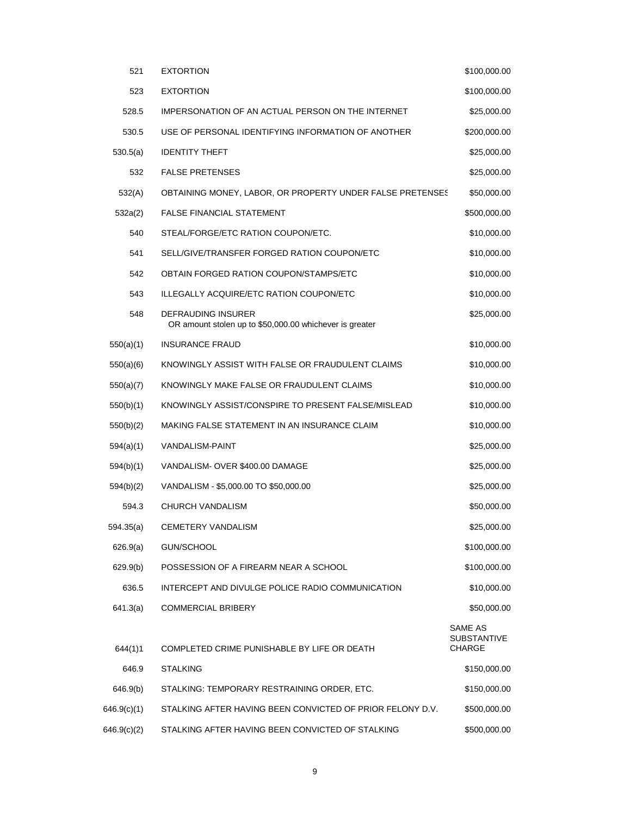| 521         | <b>EXTORTION</b>                                                                     | \$100,000.00                                   |
|-------------|--------------------------------------------------------------------------------------|------------------------------------------------|
| 523         | <b>EXTORTION</b>                                                                     | \$100,000.00                                   |
| 528.5       | IMPERSONATION OF AN ACTUAL PERSON ON THE INTERNET                                    | \$25,000.00                                    |
| 530.5       | USE OF PERSONAL IDENTIFYING INFORMATION OF ANOTHER                                   | \$200,000.00                                   |
| 530.5(a)    | <b>IDENTITY THEFT</b>                                                                | \$25,000.00                                    |
| 532         | <b>FALSE PRETENSES</b>                                                               | \$25,000.00                                    |
| 532(A)      | OBTAINING MONEY, LABOR, OR PROPERTY UNDER FALSE PRETENSES                            | \$50,000.00                                    |
| 532a(2)     | <b>FALSE FINANCIAL STATEMENT</b>                                                     | \$500,000.00                                   |
| 540         | STEAL/FORGE/ETC RATION COUPON/ETC.                                                   | \$10,000.00                                    |
| 541         | SELL/GIVE/TRANSFER FORGED RATION COUPON/ETC                                          | \$10,000.00                                    |
| 542         | OBTAIN FORGED RATION COUPON/STAMPS/ETC                                               | \$10,000.00                                    |
| 543         | ILLEGALLY ACQUIRE/ETC RATION COUPON/ETC                                              | \$10,000.00                                    |
| 548         | <b>DEFRAUDING INSURER</b><br>OR amount stolen up to \$50,000.00 whichever is greater | \$25,000.00                                    |
| 550(a)(1)   | <b>INSURANCE FRAUD</b>                                                               | \$10,000.00                                    |
| 550(a)(6)   | KNOWINGLY ASSIST WITH FALSE OR FRAUDULENT CLAIMS                                     | \$10,000.00                                    |
| 550(a)(7)   | KNOWINGLY MAKE FALSE OR FRAUDULENT CLAIMS                                            | \$10,000.00                                    |
| 550(b)(1)   | KNOWINGLY ASSIST/CONSPIRE TO PRESENT FALSE/MISLEAD                                   | \$10,000.00                                    |
| 550(b)(2)   | MAKING FALSE STATEMENT IN AN INSURANCE CLAIM                                         | \$10,000.00                                    |
| 594(a)(1)   | <b>VANDALISM-PAINT</b>                                                               | \$25,000.00                                    |
| 594(b)(1)   | VANDALISM- OVER \$400.00 DAMAGE                                                      | \$25,000.00                                    |
| 594(b)(2)   | VANDALISM - \$5,000.00 TO \$50,000.00                                                | \$25,000.00                                    |
| 594.3       | <b>CHURCH VANDALISM</b>                                                              | \$50,000.00                                    |
| 594.35(a)   | CEMETERY VANDALISM                                                                   | \$25,000.00                                    |
| 626.9(a)    | GUN/SCHOOL                                                                           | \$100,000.00                                   |
| 629.9(b)    | POSSESSION OF A FIREARM NEAR A SCHOOL                                                | \$100,000.00                                   |
| 636.5       | INTERCEPT AND DIVULGE POLICE RADIO COMMUNICATION                                     | \$10,000.00                                    |
| 641.3(a)    | <b>COMMERCIAL BRIBERY</b>                                                            | \$50,000.00                                    |
| 644(1)1     | COMPLETED CRIME PUNISHABLE BY LIFE OR DEATH                                          | SAME AS<br><b>SUBSTANTIVE</b><br><b>CHARGE</b> |
| 646.9       | <b>STALKING</b>                                                                      | \$150,000.00                                   |
| 646.9(b)    | STALKING: TEMPORARY RESTRAINING ORDER, ETC.                                          | \$150,000.00                                   |
| 646.9(c)(1) | STALKING AFTER HAVING BEEN CONVICTED OF PRIOR FELONY D.V.                            | \$500,000.00                                   |
| 646.9(c)(2) | STALKING AFTER HAVING BEEN CONVICTED OF STALKING                                     | \$500,000.00                                   |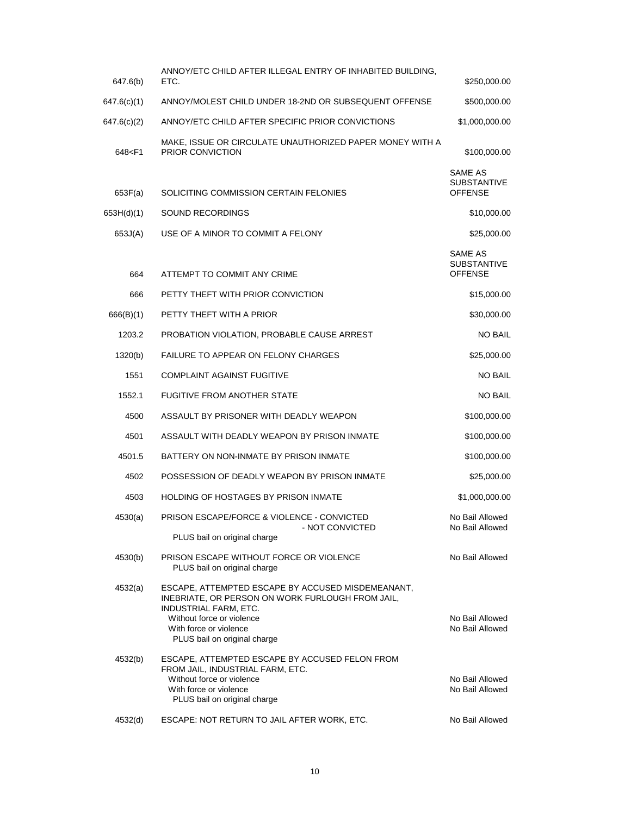| 647.6(b)                                                                                                                         | ANNOY/ETC CHILD AFTER ILLEGAL ENTRY OF INHABITED BUILDING,<br>ETC.                                                                                                                                                           | \$250,000.00                                    |
|----------------------------------------------------------------------------------------------------------------------------------|------------------------------------------------------------------------------------------------------------------------------------------------------------------------------------------------------------------------------|-------------------------------------------------|
| 647.6(c)(1)                                                                                                                      | ANNOY/MOLEST CHILD UNDER 18-2ND OR SUBSEQUENT OFFENSE                                                                                                                                                                        | \$500,000.00                                    |
| 647.6(c)(2)                                                                                                                      | ANNOY/ETC CHILD AFTER SPECIFIC PRIOR CONVICTIONS                                                                                                                                                                             | \$1,000,000.00                                  |
| 648 <f1< td=""><td>MAKE, ISSUE OR CIRCULATE UNAUTHORIZED PAPER MONEY WITH A<br/>PRIOR CONVICTION</td><td>\$100,000.00</td></f1<> | MAKE, ISSUE OR CIRCULATE UNAUTHORIZED PAPER MONEY WITH A<br>PRIOR CONVICTION                                                                                                                                                 | \$100,000.00                                    |
| 653F(a)                                                                                                                          | SOLICITING COMMISSION CERTAIN FELONIES                                                                                                                                                                                       | SAME AS<br><b>SUBSTANTIVE</b><br><b>OFFENSE</b> |
| 653H(d)(1)                                                                                                                       | SOUND RECORDINGS                                                                                                                                                                                                             | \$10,000.00                                     |
| 653J(A)                                                                                                                          | USE OF A MINOR TO COMMIT A FELONY                                                                                                                                                                                            | \$25,000.00                                     |
| 664                                                                                                                              | ATTEMPT TO COMMIT ANY CRIME                                                                                                                                                                                                  | SAME AS<br><b>SUBSTANTIVE</b><br><b>OFFENSE</b> |
| 666                                                                                                                              | PETTY THEFT WITH PRIOR CONVICTION                                                                                                                                                                                            | \$15,000.00                                     |
| 666(B)(1)                                                                                                                        | PETTY THEFT WITH A PRIOR                                                                                                                                                                                                     | \$30,000.00                                     |
| 1203.2                                                                                                                           | PROBATION VIOLATION, PROBABLE CAUSE ARREST                                                                                                                                                                                   | <b>NO BAIL</b>                                  |
| 1320(b)                                                                                                                          | FAILURE TO APPEAR ON FELONY CHARGES                                                                                                                                                                                          | \$25,000.00                                     |
| 1551                                                                                                                             | <b>COMPLAINT AGAINST FUGITIVE</b>                                                                                                                                                                                            | <b>NO BAIL</b>                                  |
| 1552.1                                                                                                                           | <b>FUGITIVE FROM ANOTHER STATE</b>                                                                                                                                                                                           | <b>NO BAIL</b>                                  |
| 4500                                                                                                                             | ASSAULT BY PRISONER WITH DEADLY WEAPON                                                                                                                                                                                       | \$100,000.00                                    |
| 4501                                                                                                                             | ASSAULT WITH DEADLY WEAPON BY PRISON INMATE                                                                                                                                                                                  | \$100,000.00                                    |
| 4501.5                                                                                                                           | BATTERY ON NON-INMATE BY PRISON INMATE                                                                                                                                                                                       | \$100,000.00                                    |
| 4502                                                                                                                             | POSSESSION OF DEADLY WEAPON BY PRISON INMATE                                                                                                                                                                                 | \$25,000.00                                     |
| 4503                                                                                                                             | <b>HOLDING OF HOSTAGES BY PRISON INMATE</b>                                                                                                                                                                                  | \$1,000,000.00                                  |
| 4530(a)                                                                                                                          | PRISON ESCAPE/FORCE & VIOLENCE - CONVICTED                                                                                                                                                                                   | No Bail Allowed                                 |
|                                                                                                                                  | - NOT CONVICTED<br>PLUS bail on original charge                                                                                                                                                                              | No Bail Allowed                                 |
| 4530(b)                                                                                                                          | PRISON ESCAPE WITHOUT FORCE OR VIOLENCE<br>PLUS bail on original charge                                                                                                                                                      | No Bail Allowed                                 |
| 4532(a)                                                                                                                          | ESCAPE, ATTEMPTED ESCAPE BY ACCUSED MISDEMEANANT,<br>INEBRIATE, OR PERSON ON WORK FURLOUGH FROM JAIL,<br><b>INDUSTRIAL FARM, ETC.</b><br>Without force or violence<br>With force or violence<br>PLUS bail on original charge | No Bail Allowed<br>No Bail Allowed              |
| 4532(b)                                                                                                                          | ESCAPE, ATTEMPTED ESCAPE BY ACCUSED FELON FROM<br>FROM JAIL, INDUSTRIAL FARM, ETC.<br>Without force or violence<br>With force or violence<br>PLUS bail on original charge                                                    | No Bail Allowed<br>No Bail Allowed              |
| 4532(d)                                                                                                                          | ESCAPE: NOT RETURN TO JAIL AFTER WORK, ETC.                                                                                                                                                                                  | No Bail Allowed                                 |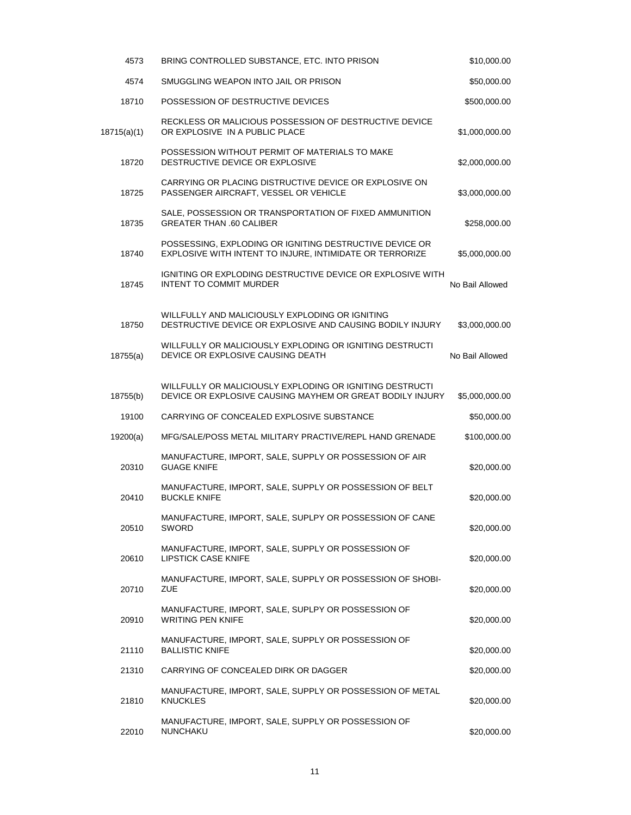| 4573        | BRING CONTROLLED SUBSTANCE, ETC. INTO PRISON                                                                          | \$10,000.00     |
|-------------|-----------------------------------------------------------------------------------------------------------------------|-----------------|
| 4574        | SMUGGLING WEAPON INTO JAIL OR PRISON                                                                                  | \$50,000.00     |
| 18710       | POSSESSION OF DESTRUCTIVE DEVICES                                                                                     | \$500,000.00    |
| 18715(a)(1) | RECKLESS OR MALICIOUS POSSESSION OF DESTRUCTIVE DEVICE<br>OR EXPLOSIVE IN A PUBLIC PLACE                              | \$1,000,000.00  |
| 18720       | POSSESSION WITHOUT PERMIT OF MATERIALS TO MAKE<br>DESTRUCTIVE DEVICE OR EXPLOSIVE                                     | \$2,000,000.00  |
| 18725       | CARRYING OR PLACING DISTRUCTIVE DEVICE OR EXPLOSIVE ON<br>PASSENGER AIRCRAFT, VESSEL OR VEHICLE                       | \$3,000,000.00  |
| 18735       | SALE, POSSESSION OR TRANSPORTATION OF FIXED AMMUNITION<br><b>GREATER THAN .60 CALIBER</b>                             | \$258,000.00    |
| 18740       | POSSESSING, EXPLODING OR IGNITING DESTRUCTIVE DEVICE OR<br>EXPLOSIVE WITH INTENT TO INJURE, INTIMIDATE OR TERRORIZE   | \$5,000,000.00  |
| 18745       | IGNITING OR EXPLODING DESTRUCTIVE DEVICE OR EXPLOSIVE WITH<br><b>INTENT TO COMMIT MURDER</b>                          | No Bail Allowed |
| 18750       | WILLFULLY AND MALICIOUSLY EXPLODING OR IGNITING<br>DESTRUCTIVE DEVICE OR EXPLOSIVE AND CAUSING BODILY INJURY          | \$3,000,000.00  |
| 18755(a)    | WILLFULLY OR MALICIOUSLY EXPLODING OR IGNITING DESTRUCTI<br>DEVICE OR EXPLOSIVE CAUSING DEATH                         | No Bail Allowed |
| 18755(b)    | WILLFULLY OR MALICIOUSLY EXPLODING OR IGNITING DESTRUCTI<br>DEVICE OR EXPLOSIVE CAUSING MAYHEM OR GREAT BODILY INJURY | \$5,000,000.00  |
| 19100       | CARRYING OF CONCEALED EXPLOSIVE SUBSTANCE                                                                             | \$50,000.00     |
| 19200(a)    | MFG/SALE/POSS METAL MILITARY PRACTIVE/REPL HAND GRENADE                                                               | \$100,000.00    |
| 20310       | MANUFACTURE, IMPORT, SALE, SUPPLY OR POSSESSION OF AIR<br><b>GUAGE KNIFE</b>                                          | \$20,000.00     |
| 20410       | MANUFACTURE, IMPORT, SALE, SUPPLY OR POSSESSION OF BELT<br><b>BUCKLE KNIFE</b>                                        | \$20,000.00     |
| 20510       | MANUFACTURE, IMPORT, SALE, SUPLPY OR POSSESSION OF CANE<br>SWORD                                                      | \$20,000.00     |
| 20610       | MANUFACTURE, IMPORT, SALE, SUPPLY OR POSSESSION OF<br><b>LIPSTICK CASE KNIFE</b>                                      | \$20,000.00     |
| 20710       | MANUFACTURE, IMPORT, SALE, SUPPLY OR POSSESSION OF SHOBI-<br>ZUE                                                      | \$20,000.00     |
| 20910       | MANUFACTURE, IMPORT, SALE, SUPLPY OR POSSESSION OF<br><b>WRITING PEN KNIFE</b>                                        | \$20,000.00     |
| 21110       | MANUFACTURE, IMPORT, SALE, SUPPLY OR POSSESSION OF<br><b>BALLISTIC KNIFE</b>                                          | \$20,000.00     |
| 21310       | CARRYING OF CONCEALED DIRK OR DAGGER                                                                                  | \$20,000.00     |
| 21810       | MANUFACTURE, IMPORT, SALE, SUPPLY OR POSSESSION OF METAL<br><b>KNUCKLES</b>                                           | \$20,000.00     |
| 22010       | MANUFACTURE, IMPORT, SALE, SUPPLY OR POSSESSION OF<br>NUNCHAKU                                                        | \$20,000.00     |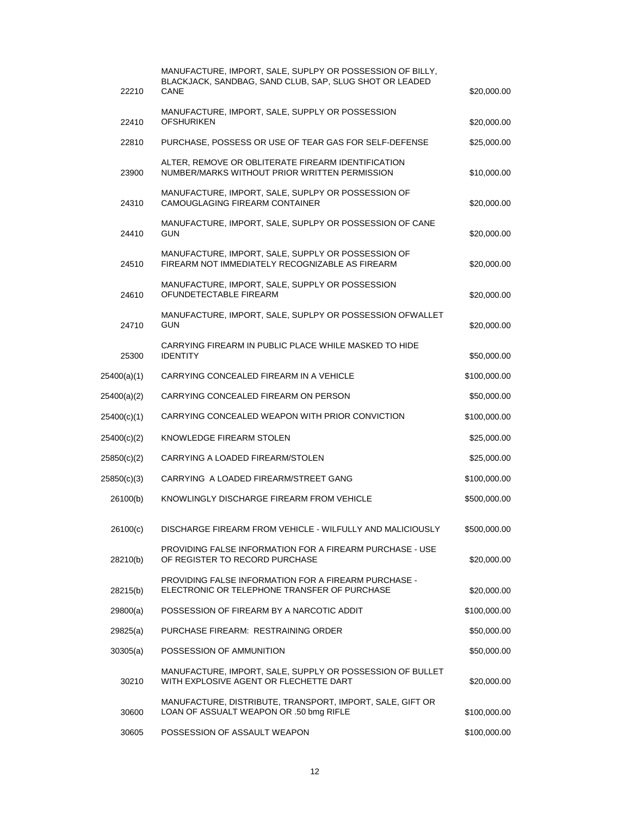| 22210       | MANUFACTURE, IMPORT, SALE, SUPLPY OR POSSESSION OF BILLY,<br>BLACKJACK, SANDBAG, SAND CLUB, SAP, SLUG SHOT OR LEADED<br>CANE | \$20,000.00  |
|-------------|------------------------------------------------------------------------------------------------------------------------------|--------------|
| 22410       | MANUFACTURE, IMPORT, SALE, SUPPLY OR POSSESSION<br><b>OFSHURIKEN</b>                                                         | \$20,000.00  |
| 22810       | PURCHASE, POSSESS OR USE OF TEAR GAS FOR SELF-DEFENSE                                                                        | \$25,000.00  |
| 23900       | ALTER, REMOVE OR OBLITERATE FIREARM IDENTIFICATION<br>NUMBER/MARKS WITHOUT PRIOR WRITTEN PERMISSION                          | \$10,000.00  |
| 24310       | MANUFACTURE, IMPORT, SALE, SUPLPY OR POSSESSION OF<br>CAMOUGLAGING FIREARM CONTAINER                                         | \$20,000.00  |
| 24410       | MANUFACTURE, IMPORT, SALE, SUPLPY OR POSSESSION OF CANE<br><b>GUN</b>                                                        | \$20,000.00  |
| 24510       | MANUFACTURE, IMPORT, SALE, SUPPLY OR POSSESSION OF<br>FIREARM NOT IMMEDIATELY RECOGNIZABLE AS FIREARM                        | \$20,000.00  |
| 24610       | MANUFACTURE, IMPORT, SALE, SUPPLY OR POSSESSION<br>OFUNDETECTABLE FIREARM                                                    | \$20,000.00  |
| 24710       | MANUFACTURE, IMPORT, SALE, SUPLPY OR POSSESSION OFWALLET<br><b>GUN</b>                                                       | \$20,000.00  |
| 25300       | CARRYING FIREARM IN PUBLIC PLACE WHILE MASKED TO HIDE<br><b>IDENTITY</b>                                                     | \$50,000.00  |
| 25400(a)(1) | CARRYING CONCEALED FIREARM IN A VEHICLE                                                                                      | \$100,000.00 |
| 25400(a)(2) | CARRYING CONCEALED FIREARM ON PERSON                                                                                         | \$50,000.00  |
| 25400(c)(1) | CARRYING CONCEALED WEAPON WITH PRIOR CONVICTION                                                                              | \$100,000.00 |
| 25400(c)(2) | KNOWLEDGE FIREARM STOLEN                                                                                                     | \$25,000.00  |
| 25850(c)(2) | CARRYING A LOADED FIREARM/STOLEN                                                                                             | \$25,000.00  |
| 25850(c)(3) | CARRYING A LOADED FIREARM/STREET GANG                                                                                        | \$100,000.00 |
| 26100(b)    | KNOWLINGLY DISCHARGE FIREARM FROM VEHICLE                                                                                    | \$500,000.00 |
| 26100(c)    | DISCHARGE FIREARM FROM VEHICLE - WILFULLY AND MALICIOUSLY                                                                    | \$500,000.00 |
| 28210(b)    | PROVIDING FALSE INFORMATION FOR A FIREARM PURCHASE - USE<br>OF REGISTER TO RECORD PURCHASE                                   | \$20,000.00  |
| 28215(b)    | <b>PROVIDING FALSE INFORMATION FOR A FIREARM PURCHASE -</b><br>ELECTRONIC OR TELEPHONE TRANSFER OF PURCHASE                  | \$20,000.00  |
| 29800(a)    | POSSESSION OF FIREARM BY A NARCOTIC ADDIT                                                                                    | \$100,000.00 |
| 29825(a)    | PURCHASE FIREARM: RESTRAINING ORDER                                                                                          | \$50,000.00  |
| 30305(a)    | POSSESSION OF AMMUNITION                                                                                                     | \$50,000.00  |
| 30210       | MANUFACTURE, IMPORT, SALE, SUPPLY OR POSSESSION OF BULLET<br>WITH EXPLOSIVE AGENT OR FLECHETTE DART                          | \$20,000.00  |
| 30600       | MANUFACTURE, DISTRIBUTE, TRANSPORT, IMPORT, SALE, GIFT OR<br>LOAN OF ASSUALT WEAPON OR .50 bmg RIFLE                         | \$100,000.00 |
| 30605       | POSSESSION OF ASSAULT WEAPON                                                                                                 | \$100,000.00 |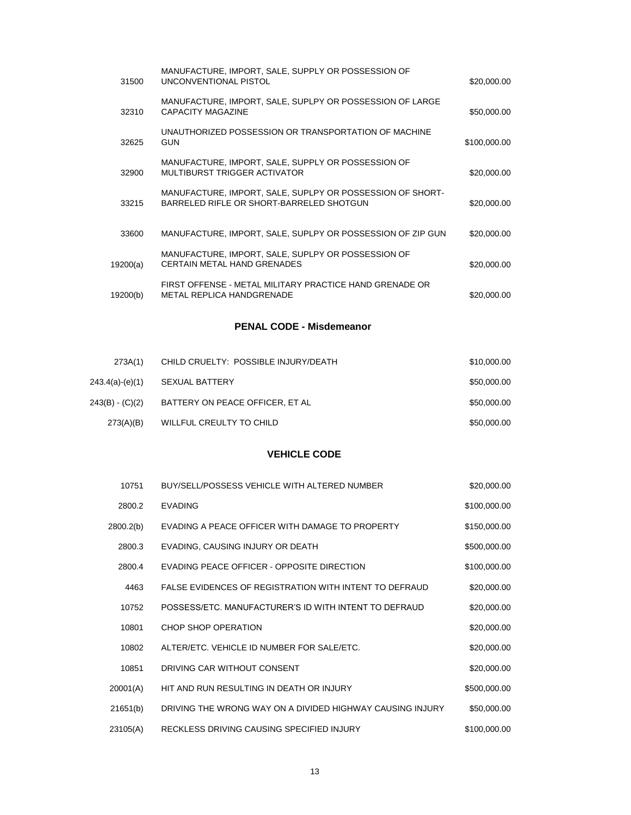| 31500    | MANUFACTURE, IMPORT, SALE, SUPPLY OR POSSESSION OF<br>UNCONVENTIONAL PISTOL                           | \$20,000.00  |
|----------|-------------------------------------------------------------------------------------------------------|--------------|
| 32310    | MANUFACTURE, IMPORT, SALE, SUPLPY OR POSSESSION OF LARGE<br>CAPACITY MAGAZINE                         | \$50,000.00  |
| 32625    | UNAUTHORIZED POSSESSION OR TRANSPORTATION OF MACHINE<br><b>GUN</b>                                    | \$100,000.00 |
| 32900    | MANUFACTURE, IMPORT, SALE, SUPPLY OR POSSESSION OF<br>MULTIBURST TRIGGER ACTIVATOR                    | \$20,000.00  |
| 33215    | MANUFACTURE, IMPORT, SALE, SUPLPY OR POSSESSION OF SHORT-<br>BARRELED RIFLE OR SHORT-BARRELED SHOTGUN | \$20,000.00  |
| 33600    | MANUFACTURE, IMPORT, SALE, SUPLPY OR POSSESSION OF ZIP GUN                                            | \$20,000.00  |
| 19200(a) | MANUFACTURE, IMPORT, SALE, SUPLPY OR POSSESSION OF<br><b>CERTAIN METAL HAND GRENADES</b>              | \$20,000.00  |
| 19200(b) | FIRST OFFENSE - METAL MILITARY PRACTICE HAND GRENADE OR<br>METAL REPLICA HANDGRENADE                  | \$20,000.00  |

## **PENAL CODE - Misdemeanor**

| 273A(1)         | CHILD CRUELTY: POSSIBLE INJURY/DEATH | \$10,000.00 |
|-----------------|--------------------------------------|-------------|
| 243.4(a)-(e)(1) | SEXUAL BATTERY                       | \$50,000.00 |
| 243(B) - (C)(2) | BATTERY ON PEACE OFFICER. ET AL      | \$50,000.00 |
| 273(A)(B)       | WILLFUL CREULTY TO CHILD             | \$50,000.00 |

## **VEHICLE CODE**

| 10751     | BUY/SELL/POSSESS VEHICLE WITH ALTERED NUMBER              | \$20,000.00  |
|-----------|-----------------------------------------------------------|--------------|
| 2800.2    | <b>EVADING</b>                                            | \$100,000.00 |
| 2800.2(b) | EVADING A PEACE OFFICER WITH DAMAGE TO PROPERTY           | \$150,000.00 |
| 2800.3    | EVADING, CAUSING INJURY OR DEATH                          | \$500,000.00 |
| 2800.4    | EVADING PEACE OFFICER - OPPOSITE DIRECTION                | \$100,000.00 |
| 4463      | FALSE EVIDENCES OF REGISTRATION WITH INTENT TO DEFRAUD    | \$20,000.00  |
| 10752     | POSSESS/ETC. MANUFACTURER'S ID WITH INTENT TO DEFRAUD     | \$20,000.00  |
| 10801     | CHOP SHOP OPERATION                                       | \$20,000.00  |
| 10802     | ALTER/ETC. VEHICLE ID NUMBER FOR SALE/ETC.                | \$20,000.00  |
| 10851     | DRIVING CAR WITHOUT CONSENT                               | \$20,000.00  |
| 20001(A)  | HIT AND RUN RESULTING IN DEATH OR INJURY                  | \$500,000.00 |
| 21651(b)  | DRIVING THE WRONG WAY ON A DIVIDED HIGHWAY CAUSING INJURY | \$50,000.00  |
| 23105(A)  | RECKLESS DRIVING CAUSING SPECIFIED INJURY                 | \$100,000.00 |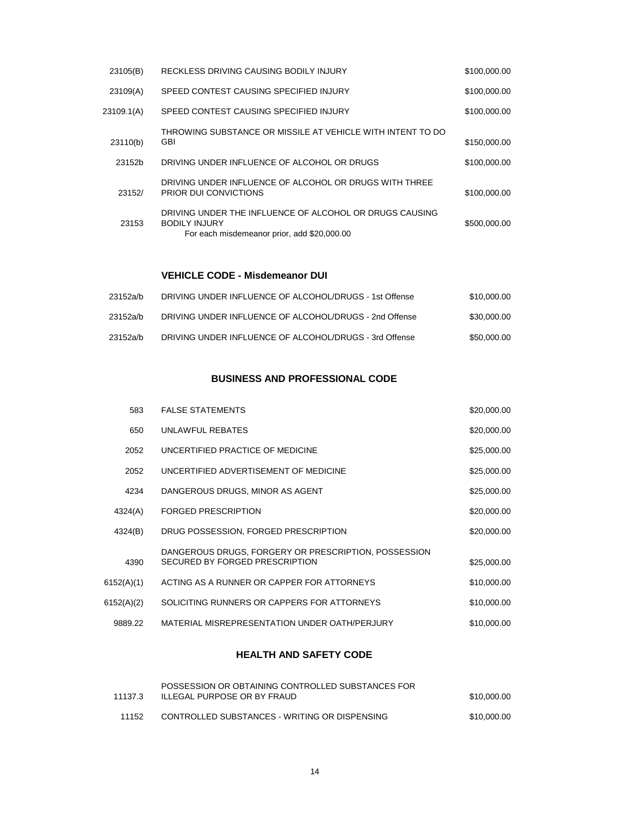| 23105(B)   | RECKLESS DRIVING CAUSING BODILY INJURY                                                                                         | \$100,000.00 |
|------------|--------------------------------------------------------------------------------------------------------------------------------|--------------|
| 23109(A)   | SPEED CONTEST CAUSING SPECIFIED INJURY                                                                                         | \$100,000.00 |
| 23109.1(A) | SPEED CONTEST CAUSING SPECIFIED INJURY                                                                                         | \$100,000.00 |
| 23110(b)   | THROWING SUBSTANCE OR MISSILE AT VEHICLE WITH INTENT TO DO<br>GBI                                                              | \$150,000.00 |
| 23152b     | DRIVING UNDER INFLUENCE OF ALCOHOL OR DRUGS                                                                                    | \$100,000.00 |
| 23152/     | DRIVING UNDER INFLUENCE OF ALCOHOL OR DRUGS WITH THREE<br>PRIOR DUI CONVICTIONS                                                | \$100,000.00 |
| 23153      | DRIVING UNDER THE INFLUENCE OF ALCOHOL OR DRUGS CAUSING<br><b>BODILY INJURY</b><br>For each misdemeanor prior, add \$20,000.00 | \$500,000.00 |
|            |                                                                                                                                |              |

#### **VEHICLE CODE - Misdemeanor DUI**

| 23152a/b | DRIVING UNDER INFLUENCE OF ALCOHOL/DRUGS - 1st Offense | \$10.000.00 |
|----------|--------------------------------------------------------|-------------|
| 23152a/b | DRIVING UNDER INFLUENCE OF ALCOHOL/DRUGS - 2nd Offense | \$30,000.00 |
| 23152a/b | DRIVING UNDER INFLUENCE OF ALCOHOL/DRUGS - 3rd Offense | \$50,000.00 |

### **BUSINESS AND PROFESSIONAL CODE**

| 583        | <b>FALSE STATEMENTS</b>                              | \$20,000.00 |
|------------|------------------------------------------------------|-------------|
|            |                                                      |             |
| 650        | UNLAWFUL REBATES                                     | \$20,000.00 |
| 2052       | UNCERTIFIED PRACTICE OF MEDICINE                     | \$25,000.00 |
| 2052       | UNCERTIFIED ADVERTISEMENT OF MEDICINE                | \$25,000.00 |
| 4234       | DANGEROUS DRUGS, MINOR AS AGENT                      | \$25,000.00 |
| 4324(A)    | <b>FORGED PRESCRIPTION</b>                           | \$20,000.00 |
| 4324(B)    | DRUG POSSESSION, FORGED PRESCRIPTION                 | \$20,000.00 |
|            | DANGEROUS DRUGS, FORGERY OR PRESCRIPTION, POSSESSION |             |
| 4390       | SECURED BY FORGED PRESCRIPTION                       | \$25,000.00 |
| 6152(A)(1) | ACTING AS A RUNNER OR CAPPER FOR ATTORNEYS           | \$10,000.00 |
| 6152(A)(2) | SOLICITING RUNNERS OR CAPPERS FOR ATTORNEYS          | \$10,000.00 |
| 9889.22    | MATERIAL MISREPRESENTATION UNDER OATH/PERJURY        | \$10,000.00 |
|            |                                                      |             |

### **HEALTH AND SAFETY CODE**

| 11137.3 | POSSESSION OR OBTAINING CONTROLLED SUBSTANCES FOR<br>ILLEGAL PURPOSE OR BY FRAUD | \$10,000.00 |
|---------|----------------------------------------------------------------------------------|-------------|
| 11152   | CONTROLLED SUBSTANCES - WRITING OR DISPENSING                                    | \$10,000.00 |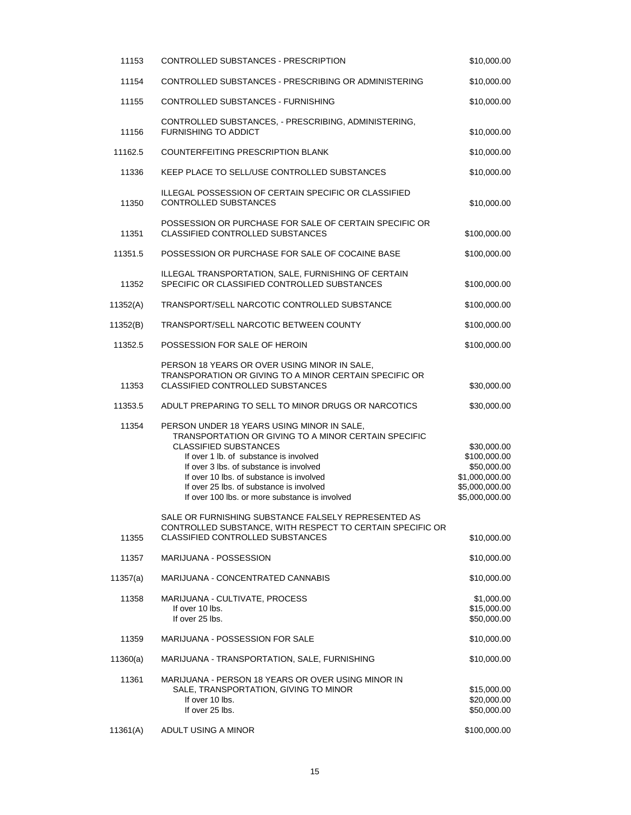| 11153    | CONTROLLED SUBSTANCES - PRESCRIPTION                                                                                                                                                                                                                                                                                                                              | \$10,000.00                                                                                      |
|----------|-------------------------------------------------------------------------------------------------------------------------------------------------------------------------------------------------------------------------------------------------------------------------------------------------------------------------------------------------------------------|--------------------------------------------------------------------------------------------------|
| 11154    | CONTROLLED SUBSTANCES - PRESCRIBING OR ADMINISTERING                                                                                                                                                                                                                                                                                                              | \$10,000.00                                                                                      |
| 11155    | CONTROLLED SUBSTANCES - FURNISHING                                                                                                                                                                                                                                                                                                                                | \$10,000.00                                                                                      |
| 11156    | CONTROLLED SUBSTANCES, - PRESCRIBING, ADMINISTERING,<br><b>FURNISHING TO ADDICT</b>                                                                                                                                                                                                                                                                               | \$10,000.00                                                                                      |
| 11162.5  | <b>COUNTERFEITING PRESCRIPTION BLANK</b>                                                                                                                                                                                                                                                                                                                          | \$10,000.00                                                                                      |
| 11336    | KEEP PLACE TO SELL/USE CONTROLLED SUBSTANCES                                                                                                                                                                                                                                                                                                                      | \$10,000.00                                                                                      |
| 11350    | ILLEGAL POSSESSION OF CERTAIN SPECIFIC OR CLASSIFIED<br><b>CONTROLLED SUBSTANCES</b>                                                                                                                                                                                                                                                                              | \$10,000.00                                                                                      |
| 11351    | POSSESSION OR PURCHASE FOR SALE OF CERTAIN SPECIFIC OR<br>CLASSIFIED CONTROLLED SUBSTANCES                                                                                                                                                                                                                                                                        | \$100,000.00                                                                                     |
| 11351.5  | POSSESSION OR PURCHASE FOR SALE OF COCAINE BASE                                                                                                                                                                                                                                                                                                                   | \$100,000.00                                                                                     |
| 11352    | ILLEGAL TRANSPORTATION, SALE, FURNISHING OF CERTAIN<br>SPECIFIC OR CLASSIFIED CONTROLLED SUBSTANCES                                                                                                                                                                                                                                                               | \$100,000.00                                                                                     |
| 11352(A) | TRANSPORT/SELL NARCOTIC CONTROLLED SUBSTANCE                                                                                                                                                                                                                                                                                                                      | \$100,000.00                                                                                     |
| 11352(B) | TRANSPORT/SELL NARCOTIC BETWEEN COUNTY                                                                                                                                                                                                                                                                                                                            | \$100,000.00                                                                                     |
| 11352.5  | POSSESSION FOR SALE OF HEROIN                                                                                                                                                                                                                                                                                                                                     | \$100,000.00                                                                                     |
| 11353    | PERSON 18 YEARS OR OVER USING MINOR IN SALE,<br>TRANSPORATION OR GIVING TO A MINOR CERTAIN SPECIFIC OR<br><b>CLASSIFIED CONTROLLED SUBSTANCES</b>                                                                                                                                                                                                                 | \$30,000.00                                                                                      |
| 11353.5  | ADULT PREPARING TO SELL TO MINOR DRUGS OR NARCOTICS                                                                                                                                                                                                                                                                                                               | \$30,000.00                                                                                      |
| 11354    | PERSON UNDER 18 YEARS USING MINOR IN SALE,<br>TRANSPORTATION OR GIVING TO A MINOR CERTAIN SPECIFIC<br><b>CLASSIFIED SUBSTANCES</b><br>If over 1 lb. of substance is involved<br>If over 3 lbs. of substance is involved<br>If over 10 lbs, of substance is involved<br>If over 25 lbs. of substance is involved<br>If over 100 lbs, or more substance is involved | \$30,000.00<br>\$100,000.00<br>\$50,000.00<br>\$1,000,000.00<br>\$5,000,000.00<br>\$5,000,000.00 |
| 11355    | SALE OR FURNISHING SUBSTANCE FALSELY REPRESENTED AS<br>CONTROLLED SUBSTANCE, WITH RESPECT TO CERTAIN SPECIFIC OR<br><b>CLASSIFIED CONTROLLED SUBSTANCES</b>                                                                                                                                                                                                       | \$10,000.00                                                                                      |
| 11357    | MARIJUANA - POSSESSION                                                                                                                                                                                                                                                                                                                                            | \$10,000.00                                                                                      |
| 11357(a) | MARIJUANA - CONCENTRATED CANNABIS                                                                                                                                                                                                                                                                                                                                 | \$10,000.00                                                                                      |
| 11358    | MARIJUANA - CULTIVATE, PROCESS<br>If over 10 lbs.<br>If over 25 lbs.                                                                                                                                                                                                                                                                                              | \$1,000.00<br>\$15,000.00<br>\$50,000.00                                                         |
| 11359    | MARIJUANA - POSSESSION FOR SALE                                                                                                                                                                                                                                                                                                                                   | \$10,000.00                                                                                      |
| 11360(a) | MARIJUANA - TRANSPORTATION, SALE, FURNISHING                                                                                                                                                                                                                                                                                                                      | \$10,000.00                                                                                      |
| 11361    | MARIJUANA - PERSON 18 YEARS OR OVER USING MINOR IN<br>SALE, TRANSPORTATION, GIVING TO MINOR<br>If over 10 lbs.<br>If over 25 lbs.                                                                                                                                                                                                                                 | \$15,000.00<br>\$20,000.00<br>\$50,000.00                                                        |
| 11361(A) | ADULT USING A MINOR                                                                                                                                                                                                                                                                                                                                               | \$100,000.00                                                                                     |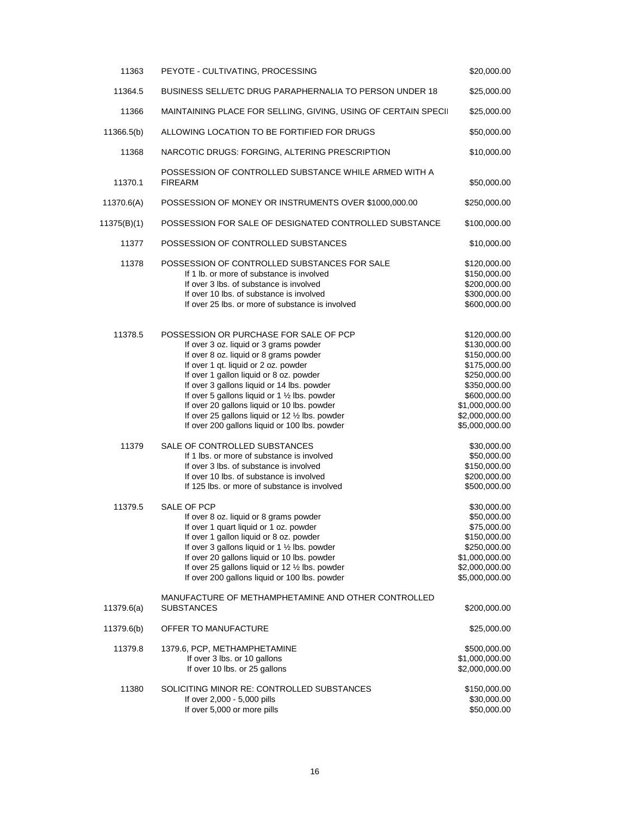| 11363       | PEYOTE - CULTIVATING, PROCESSING                                                                                                                                                                                                                                                                                                                                                                                                                                | \$20,000.00                                                                                                                                                        |
|-------------|-----------------------------------------------------------------------------------------------------------------------------------------------------------------------------------------------------------------------------------------------------------------------------------------------------------------------------------------------------------------------------------------------------------------------------------------------------------------|--------------------------------------------------------------------------------------------------------------------------------------------------------------------|
| 11364.5     | <b>BUSINESS SELL/ETC DRUG PARAPHERNALIA TO PERSON UNDER 18</b>                                                                                                                                                                                                                                                                                                                                                                                                  | \$25,000.00                                                                                                                                                        |
| 11366       | MAINTAINING PLACE FOR SELLING, GIVING, USING OF CERTAIN SPECII                                                                                                                                                                                                                                                                                                                                                                                                  | \$25,000.00                                                                                                                                                        |
| 11366.5(b)  | ALLOWING LOCATION TO BE FORTIFIED FOR DRUGS                                                                                                                                                                                                                                                                                                                                                                                                                     | \$50,000.00                                                                                                                                                        |
| 11368       | NARCOTIC DRUGS: FORGING, ALTERING PRESCRIPTION                                                                                                                                                                                                                                                                                                                                                                                                                  | \$10,000.00                                                                                                                                                        |
| 11370.1     | POSSESSION OF CONTROLLED SUBSTANCE WHILE ARMED WITH A<br><b>FIREARM</b>                                                                                                                                                                                                                                                                                                                                                                                         | \$50,000.00                                                                                                                                                        |
| 11370.6(A)  | POSSESSION OF MONEY OR INSTRUMENTS OVER \$1000,000.00                                                                                                                                                                                                                                                                                                                                                                                                           | \$250,000.00                                                                                                                                                       |
| 11375(B)(1) | POSSESSION FOR SALE OF DESIGNATED CONTROLLED SUBSTANCE                                                                                                                                                                                                                                                                                                                                                                                                          | \$100,000.00                                                                                                                                                       |
| 11377       | POSSESSION OF CONTROLLED SUBSTANCES                                                                                                                                                                                                                                                                                                                                                                                                                             | \$10,000.00                                                                                                                                                        |
| 11378       | POSSESSION OF CONTROLLED SUBSTANCES FOR SALE<br>If 1 lb, or more of substance is involved<br>If over 3 lbs, of substance is involved<br>If over 10 lbs, of substance is involved<br>If over 25 lbs. or more of substance is involved                                                                                                                                                                                                                            | \$120,000.00<br>\$150,000.00<br>\$200,000.00<br>\$300,000.00<br>\$600,000.00                                                                                       |
| 11378.5     | POSSESSION OR PURCHASE FOR SALE OF PCP<br>If over 3 oz. liquid or 3 grams powder<br>If over 8 oz. liquid or 8 grams powder<br>If over 1 qt. liquid or 2 oz. powder<br>If over 1 gallon liquid or 8 oz. powder<br>If over 3 gallons liquid or 14 lbs. powder<br>If over 5 gallons liquid or 1 1/2 lbs. powder<br>If over 20 gallons liquid or 10 lbs. powder<br>If over 25 gallons liquid or 12 1/2 lbs. powder<br>If over 200 gallons liquid or 100 lbs. powder | \$120,000.00<br>\$130,000.00<br>\$150,000.00<br>\$175,000.00<br>\$250,000.00<br>\$350,000.00<br>\$600,000.00<br>\$1,000,000.00<br>\$2,000,000.00<br>\$5,000,000.00 |
| 11379       | SALE OF CONTROLLED SUBSTANCES<br>If 1 lbs. or more of substance is involved<br>If over 3 lbs. of substance is involved<br>If over 10 lbs. of substance is involved<br>If 125 lbs. or more of substance is involved                                                                                                                                                                                                                                              | \$30,000.00<br>\$50,000.00<br>\$150,000.00<br>\$200,000.00<br>\$500,000.00                                                                                         |
| 11379.5     | SALE OF PCP<br>If over 8 oz. liquid or 8 grams powder<br>If over 1 quart liquid or 1 oz. powder<br>If over 1 gallon liquid or 8 oz. powder<br>If over 3 gallons liquid or 1 1/2 lbs. powder<br>If over 20 gallons liquid or 10 lbs. powder<br>If over 25 gallons liquid or 12 1/2 lbs. powder<br>If over 200 gallons liquid or 100 lbs. powder                                                                                                                  | \$30,000.00<br>\$50,000.00<br>\$75,000.00<br>\$150,000.00<br>\$250,000.00<br>\$1,000,000.00<br>\$2,000,000.00<br>\$5,000,000.00                                    |
| 11379.6(a)  | MANUFACTURE OF METHAMPHETAMINE AND OTHER CONTROLLED<br><b>SUBSTANCES</b>                                                                                                                                                                                                                                                                                                                                                                                        | \$200,000.00                                                                                                                                                       |
| 11379.6(b)  | OFFER TO MANUFACTURE                                                                                                                                                                                                                                                                                                                                                                                                                                            | \$25,000.00                                                                                                                                                        |
| 11379.8     | 1379.6, PCP, METHAMPHETAMINE<br>If over 3 lbs. or 10 gallons<br>If over 10 lbs. or 25 gallons                                                                                                                                                                                                                                                                                                                                                                   | \$500,000.00<br>\$1,000,000.00<br>\$2,000,000.00                                                                                                                   |
| 11380       | SOLICITING MINOR RE: CONTROLLED SUBSTANCES<br>If over 2,000 - 5,000 pills<br>If over 5,000 or more pills                                                                                                                                                                                                                                                                                                                                                        | \$150,000.00<br>\$30,000.00<br>\$50,000.00                                                                                                                         |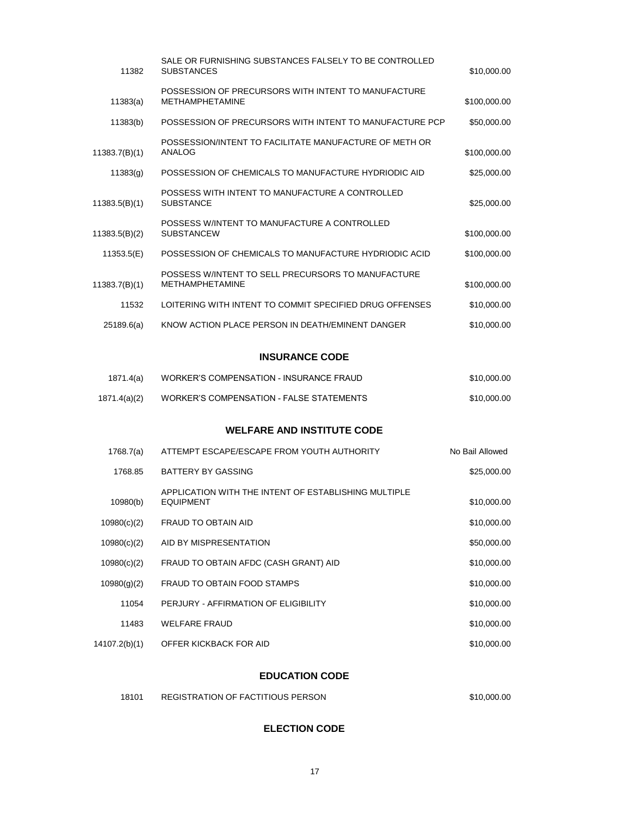| 11382         | SALE OR FURNISHING SUBSTANCES FALSELY TO BE CONTROLLED<br><b>SUBSTANCES</b>   | \$10,000.00     |
|---------------|-------------------------------------------------------------------------------|-----------------|
| 11383(a)      | POSSESSION OF PRECURSORS WITH INTENT TO MANUFACTURE<br><b>METHAMPHETAMINE</b> | \$100,000.00    |
| 11383(b)      | POSSESSION OF PRECURSORS WITH INTENT TO MANUFACTURE PCP                       | \$50,000.00     |
| 11383.7(B)(1) | POSSESSION/INTENT TO FACILITATE MANUFACTURE OF METH OR<br>ANALOG              | \$100,000.00    |
| 11383(g)      | POSSESSION OF CHEMICALS TO MANUFACTURE HYDRIODIC AID                          | \$25,000.00     |
| 11383.5(B)(1) | POSSESS WITH INTENT TO MANUFACTURE A CONTROLLED<br><b>SUBSTANCE</b>           | \$25,000.00     |
| 11383.5(B)(2) | POSSESS W/INTENT TO MANUFACTURE A CONTROLLED<br><b>SUBSTANCEW</b>             | \$100,000.00    |
| 11353.5(E)    | POSSESSION OF CHEMICALS TO MANUFACTURE HYDRIODIC ACID                         | \$100,000.00    |
| 11383.7(B)(1) | POSSESS W/INTENT TO SELL PRECURSORS TO MANUFACTURE<br><b>METHAMPHETAMINE</b>  | \$100,000.00    |
| 11532         | LOITERING WITH INTENT TO COMMIT SPECIFIED DRUG OFFENSES                       | \$10,000.00     |
| 25189.6(a)    | KNOW ACTION PLACE PERSON IN DEATH/EMINENT DANGER                              | \$10,000.00     |
|               | <b>INSURANCE CODE</b>                                                         |                 |
| 1871.4(a)     | <b>WORKER'S COMPENSATION - INSURANCE FRAUD</b>                                | \$10,000.00     |
| 1871.4(a)(2)  | <b>WORKER'S COMPENSATION - FALSE STATEMENTS</b>                               | \$10,000.00     |
|               | <b>WELFARE AND INSTITUTE CODE</b>                                             |                 |
| 1768.7(a)     | ATTEMPT ESCAPE/ESCAPE FROM YOUTH AUTHORITY                                    | No Bail Allowed |
| 1768.85       | <b>BATTERY BY GASSING</b>                                                     | \$25,000.00     |
| 10980(b)      | APPLICATION WITH THE INTENT OF ESTABLISHING MULTIPLE<br><b>EQUIPMENT</b>      | \$10,000.00     |
| 10980(c)(2)   | FRAUD TO OBTAIN AID                                                           | \$10,000.00     |
| 10980(c)(2)   | AID BY MISPRESENTATION                                                        | \$50,000.00     |
| 10980(c)(2)   | FRAUD TO OBTAIN AFDC (CASH GRANT) AID                                         | \$10,000.00     |
| 10980(g)(2)   | FRAUD TO OBTAIN FOOD STAMPS                                                   | \$10,000.00     |
| 11054         | PERJURY - AFFIRMATION OF ELIGIBILITY                                          | \$10,000.00     |
| 11483         | <b>WELFARE FRAUD</b>                                                          | \$10,000.00     |
| 14107.2(b)(1) | OFFER KICKBACK FOR AID                                                        | \$10,000.00     |

## **EDUCATION CODE**

| 18101 | REGISTRATION OF FACTITIOUS PERSON | \$10,000.00 |
|-------|-----------------------------------|-------------|
|       |                                   |             |

## **ELECTION CODE**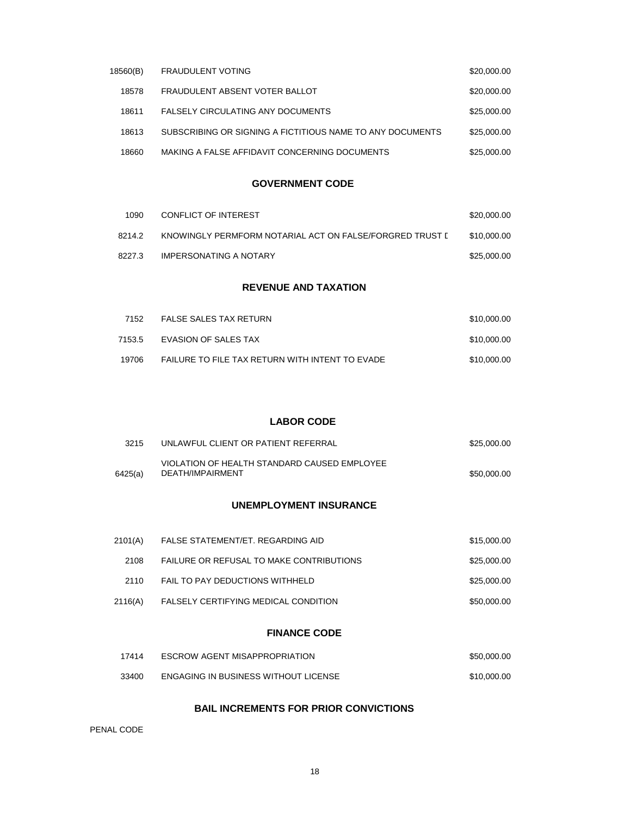| 18560(B) | <b>FRAUDULENT VOTING</b>                                  | \$20,000.00 |
|----------|-----------------------------------------------------------|-------------|
| 18578    | FRAUDULENT ABSENT VOTER BALLOT                            | \$20,000.00 |
| 18611    | <b>FALSELY CIRCULATING ANY DOCUMENTS</b>                  | \$25,000.00 |
| 18613    | SUBSCRIBING OR SIGNING A FICTITIOUS NAME TO ANY DOCUMENTS | \$25,000,00 |
| 18660    | MAKING A FALSE AFFIDAVIT CONCERNING DOCUMENTS             | \$25,000,00 |

### **GOVERNMENT CODE**

| 1090   | CONFLICT OF INTEREST                                     | \$20,000,00 |
|--------|----------------------------------------------------------|-------------|
| 8214.2 | KNOWINGLY PERMFORM NOTARIAL ACT ON FALSE/FORGRED TRUST [ | \$10,000,00 |
| 8227.3 | IMPERSONATING A NOTARY                                   | \$25,000.00 |

#### **REVENUE AND TAXATION**

| 7152   | <b>FALSE SALES TAX RETURN</b>                   | \$10,000.00 |
|--------|-------------------------------------------------|-------------|
| 7153.5 | EVASION OF SALES TAX                            | \$10,000,00 |
| 19706  | FAILURE TO FILE TAX RETURN WITH INTENT TO EVADE | \$10,000.00 |

#### **LABOR CODE**

| 3215    | UNLAWFUL CLIENT OR PATIENT REFERRAL                              | \$25,000,00 |
|---------|------------------------------------------------------------------|-------------|
| 6425(a) | VIOLATION OF HEALTH STANDARD CAUSED EMPLOYEE<br>DEATH/IMPAIRMENT | \$50,000.00 |

### **UNEMPLOYMENT INSURANCE**

| 2101(A) | FALSE STATEMENT/ET. REGARDING AID        | \$15,000.00 |
|---------|------------------------------------------|-------------|
| 2108    | FAILURE OR REFUSAL TO MAKE CONTRIBUTIONS | \$25,000,00 |
| 2110    | FAIL TO PAY DEDUCTIONS WITHHELD          | \$25,000.00 |
| 2116(A) | FALSELY CERTIFYING MEDICAL CONDITION     | \$50,000.00 |

#### **FINANCE CODE**

| 17414 | <b>ESCROW AGENT MISAPPROPRIATION</b>        | \$50,000,00 |
|-------|---------------------------------------------|-------------|
| 33400 | <b>ENGAGING IN BUSINESS WITHOUT LICENSE</b> | \$10,000.00 |

## **BAIL INCREMENTS FOR PRIOR CONVICTIONS**

PENAL CODE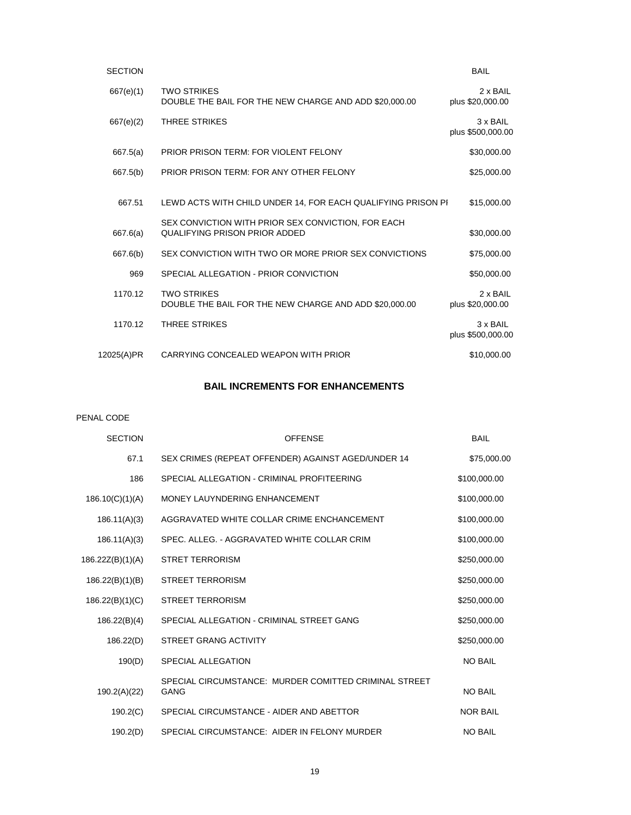| <b>SECTION</b> |                                                                                     | <b>BAIL</b>                         |
|----------------|-------------------------------------------------------------------------------------|-------------------------------------|
| 667(e)(1)      | <b>TWO STRIKES</b><br>DOUBLE THE BAIL FOR THE NEW CHARGE AND ADD \$20,000.00        | 2 x BAIL<br>plus \$20,000.00        |
| 667(e)(2)      | <b>THREE STRIKES</b>                                                                | 3 x BAIL<br>plus \$500,000.00       |
| 667.5(a)       | <b>PRIOR PRISON TERM: FOR VIOLENT FELONY</b>                                        | \$30,000.00                         |
| 667.5(b)       | PRIOR PRISON TERM: FOR ANY OTHER FELONY                                             | \$25,000.00                         |
| 667.51         | LEWD ACTS WITH CHILD UNDER 14, FOR EACH QUALIFYING PRISON PI                        | \$15,000.00                         |
| 667.6(a)       | SEX CONVICTION WITH PRIOR SEX CONVICTION, FOR EACH<br>QUALIFYING PRISON PRIOR ADDED | \$30,000.00                         |
| 667.6(b)       | SEX CONVICTION WITH TWO OR MORE PRIOR SEX CONVICTIONS                               | \$75,000.00                         |
| 969            | SPECIAL ALLEGATION - PRIOR CONVICTION                                               | \$50,000.00                         |
| 1170.12        | <b>TWO STRIKES</b><br>DOUBLE THE BAIL FOR THE NEW CHARGE AND ADD \$20,000.00        | $2 \times$ BAII<br>plus \$20,000.00 |
| 1170.12        | <b>THREE STRIKES</b>                                                                | 3 x BAIL<br>plus \$500,000.00       |
| 12025(A)PR     | CARRYING CONCEALED WEAPON WITH PRIOR                                                | \$10,000.00                         |
|                |                                                                                     |                                     |

## **BAIL INCREMENTS FOR ENHANCEMENTS**

PENAL CODE

| <b>SECTION</b>   | <b>OFFENSE</b>                                                       | <b>BAIL</b>     |
|------------------|----------------------------------------------------------------------|-----------------|
| 67.1             | SEX CRIMES (REPEAT OFFENDER) AGAINST AGED/UNDER 14                   | \$75,000.00     |
| 186              | SPECIAL ALLEGATION - CRIMINAL PROFITEERING                           | \$100,000.00    |
| 186.10(C)(1)(A)  | MONEY LAUYNDERING ENHANCEMENT                                        | \$100,000.00    |
| 186.11(A)(3)     | AGGRAVATED WHITE COLLAR CRIME ENCHANCEMENT                           | \$100,000.00    |
| 186.11(A)(3)     | SPEC. ALLEG. - AGGRAVATED WHITE COLLAR CRIM                          | \$100,000.00    |
| 186.22Z(B)(1)(A) | <b>STRET TERRORISM</b>                                               | \$250,000.00    |
| 186.22(B)(1)(B)  | <b>STREET TERRORISM</b>                                              | \$250,000.00    |
| 186.22(B)(1)(C)  | <b>STREET TERRORISM</b>                                              | \$250,000.00    |
| 186.22(B)(4)     | SPECIAL ALLEGATION - CRIMINAL STREET GANG                            | \$250,000.00    |
| 186.22(D)        | <b>STREET GRANG ACTIVITY</b>                                         | \$250,000.00    |
| 190(D)           | <b>SPECIAL ALLEGATION</b>                                            | <b>NO BAIL</b>  |
| 190.2(A)(22)     | SPECIAL CIRCUMSTANCE: MURDER COMITTED CRIMINAL STREET<br><b>GANG</b> | <b>NO BAIL</b>  |
| 190.2(C)         | SPECIAL CIRCUMSTANCE - AIDER AND ABETTOR                             | <b>NOR BAIL</b> |
| 190.2(D)         | SPECIAL CIRCUMSTANCE: AIDER IN FELONY MURDER                         | <b>NO BAIL</b>  |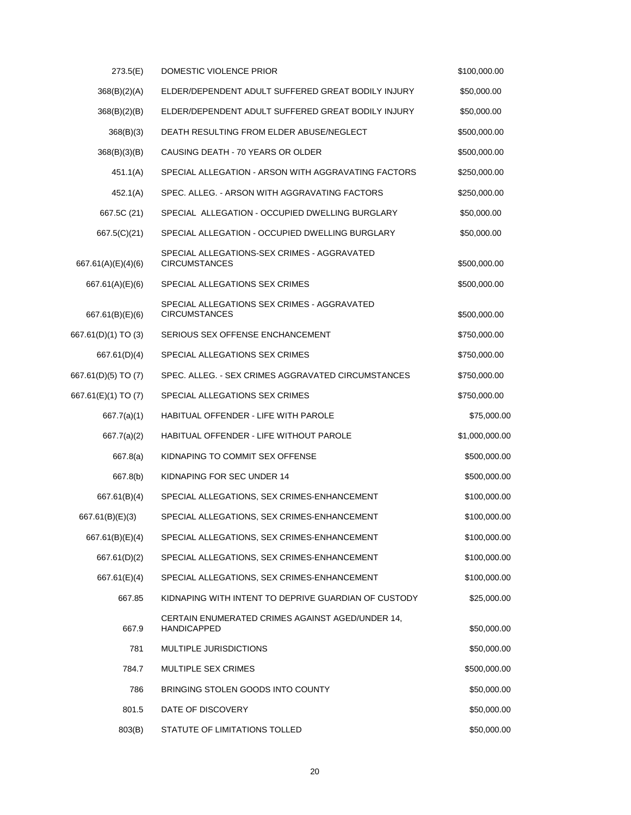| 273.5(E)            | DOMESTIC VIOLENCE PRIOR                                                | \$100,000.00   |
|---------------------|------------------------------------------------------------------------|----------------|
| 368(B)(2)(A)        | ELDER/DEPENDENT ADULT SUFFERED GREAT BODILY INJURY                     | \$50,000.00    |
| 368(B)(2)(B)        | ELDER/DEPENDENT ADULT SUFFERED GREAT BODILY INJURY                     | \$50,000.00    |
| 368(B)(3)           | DEATH RESULTING FROM ELDER ABUSE/NEGLECT                               | \$500,000.00   |
| 368(B)(3)(B)        | CAUSING DEATH - 70 YEARS OR OLDER                                      | \$500,000.00   |
| 451.1(A)            | SPECIAL ALLEGATION - ARSON WITH AGGRAVATING FACTORS                    | \$250,000.00   |
| 452.1(A)            | SPEC. ALLEG. - ARSON WITH AGGRAVATING FACTORS                          | \$250,000.00   |
| 667.5C (21)         | SPECIAL ALLEGATION - OCCUPIED DWELLING BURGLARY                        | \$50,000.00    |
| 667.5(C)(21)        | SPECIAL ALLEGATION - OCCUPIED DWELLING BURGLARY                        | \$50,000.00    |
| 667.61(A)(E)(4)(6)  | SPECIAL ALLEGATIONS-SEX CRIMES - AGGRAVATED<br><b>CIRCUMSTANCES</b>    | \$500,000.00   |
| 667.61(A)(E)(6)     | SPECIAL ALLEGATIONS SEX CRIMES                                         | \$500,000.00   |
| 667.61(B)(E)(6)     | SPECIAL ALLEGATIONS SEX CRIMES - AGGRAVATED<br><b>CIRCUMSTANCES</b>    | \$500,000.00   |
| 667.61(D)(1) TO (3) | SERIOUS SEX OFFENSE ENCHANCEMENT                                       | \$750,000.00   |
| 667.61(D)(4)        | SPECIAL ALLEGATIONS SEX CRIMES                                         | \$750,000.00   |
| 667.61(D)(5) TO (7) | SPEC. ALLEG. - SEX CRIMES AGGRAVATED CIRCUMSTANCES                     | \$750,000.00   |
| 667.61(E)(1) TO (7) | SPECIAL ALLEGATIONS SEX CRIMES                                         | \$750,000.00   |
| 667.7(a)(1)         | HABITUAL OFFENDER - LIFE WITH PAROLE                                   | \$75,000.00    |
| 667.7(a)(2)         | HABITUAL OFFENDER - LIFE WITHOUT PAROLE                                | \$1,000,000.00 |
| 667.8(a)            | KIDNAPING TO COMMIT SEX OFFENSE                                        | \$500,000.00   |
| 667.8(b)            | KIDNAPING FOR SEC UNDER 14                                             | \$500,000.00   |
| 667.61(B)(4)        | SPECIAL ALLEGATIONS, SEX CRIMES-ENHANCEMENT                            | \$100,000.00   |
| 667.61(B)(E)(3)     | SPECIAL ALLEGATIONS, SEX CRIMES-ENHANCEMENT                            | \$100,000.00   |
| 667.61(B)(E)(4)     | SPECIAL ALLEGATIONS, SEX CRIMES-ENHANCEMENT                            | \$100,000.00   |
| 667.61(D)(2)        | SPECIAL ALLEGATIONS, SEX CRIMES-ENHANCEMENT                            | \$100,000.00   |
| 667.61(E)(4)        | SPECIAL ALLEGATIONS, SEX CRIMES-ENHANCEMENT                            | \$100,000.00   |
| 667.85              | KIDNAPING WITH INTENT TO DEPRIVE GUARDIAN OF CUSTODY                   | \$25,000.00    |
| 667.9               | CERTAIN ENUMERATED CRIMES AGAINST AGED/UNDER 14,<br><b>HANDICAPPED</b> | \$50,000.00    |
| 781                 | MULTIPLE JURISDICTIONS                                                 | \$50,000.00    |
| 784.7               | MULTIPLE SEX CRIMES                                                    | \$500,000.00   |
| 786                 | BRINGING STOLEN GOODS INTO COUNTY                                      | \$50,000.00    |
| 801.5               | DATE OF DISCOVERY                                                      | \$50,000.00    |
| 803(B)              | STATUTE OF LIMITATIONS TOLLED                                          | \$50,000.00    |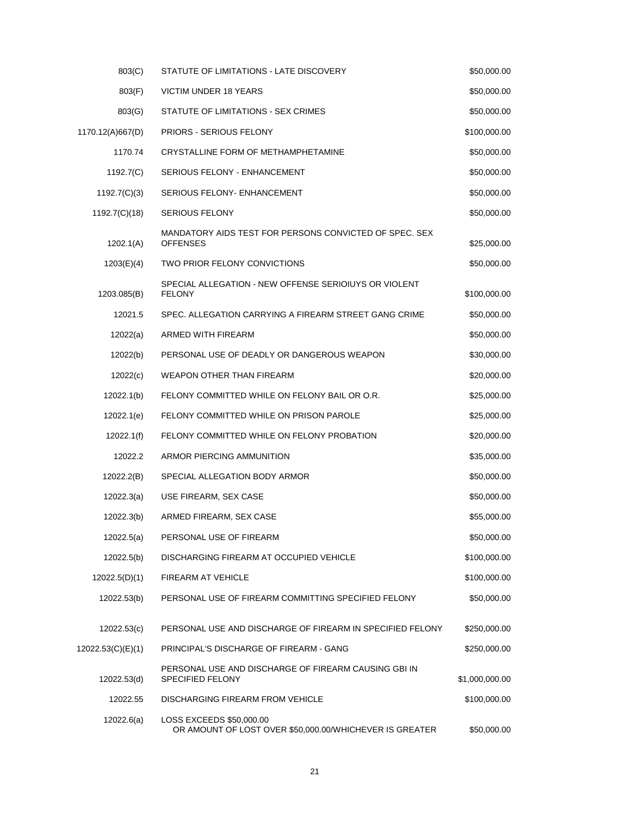| 803(C)            | STATUTE OF LIMITATIONS - LATE DISCOVERY                                             | \$50,000.00    |
|-------------------|-------------------------------------------------------------------------------------|----------------|
| 803(F)            | VICTIM UNDER 18 YEARS                                                               | \$50,000.00    |
| 803(G)            | STATUTE OF LIMITATIONS - SEX CRIMES                                                 | \$50,000.00    |
| 1170.12(A)667(D)  | <b>PRIORS - SERIOUS FELONY</b>                                                      | \$100,000.00   |
| 1170.74           | CRYSTALLINE FORM OF METHAMPHETAMINE                                                 | \$50,000.00    |
| 1192.7(C)         | SERIOUS FELONY - ENHANCEMENT                                                        | \$50,000.00    |
| 1192.7(C)(3)      | <b>SERIOUS FELONY- ENHANCEMENT</b>                                                  | \$50,000.00    |
| 1192.7(C)(18)     | <b>SERIOUS FELONY</b>                                                               | \$50,000.00    |
| 1202.1(A)         | MANDATORY AIDS TEST FOR PERSONS CONVICTED OF SPEC. SEX<br><b>OFFENSES</b>           | \$25,000.00    |
| 1203(E)(4)        | TWO PRIOR FELONY CONVICTIONS                                                        | \$50,000.00    |
| 1203.085(B)       | SPECIAL ALLEGATION - NEW OFFENSE SERIOIUYS OR VIOLENT<br><b>FELONY</b>              | \$100,000.00   |
| 12021.5           | SPEC. ALLEGATION CARRYING A FIREARM STREET GANG CRIME                               | \$50,000.00    |
| 12022(a)          | ARMED WITH FIREARM                                                                  | \$50,000.00    |
| 12022(b)          | PERSONAL USE OF DEADLY OR DANGEROUS WEAPON                                          | \$30,000.00    |
| 12022(c)          | <b>WEAPON OTHER THAN FIREARM</b>                                                    | \$20,000.00    |
| 12022.1(b)        | FELONY COMMITTED WHILE ON FELONY BAIL OR O.R.                                       | \$25,000.00    |
| 12022.1(e)        | FELONY COMMITTED WHILE ON PRISON PAROLE                                             | \$25,000.00    |
| 12022.1(f)        | FELONY COMMITTED WHILE ON FELONY PROBATION                                          | \$20,000.00    |
| 12022.2           | ARMOR PIERCING AMMUNITION                                                           | \$35,000.00    |
| 12022.2(B)        | SPECIAL ALLEGATION BODY ARMOR                                                       | \$50,000.00    |
| 12022.3(a)        | USE FIREARM, SEX CASE                                                               | \$50,000.00    |
| 12022.3(b)        | ARMED FIREARM, SEX CASE                                                             | \$55,000.00    |
| 12022.5(a)        | PERSONAL USE OF FIREARM                                                             | \$50,000.00    |
| 12022.5(b)        | DISCHARGING FIREARM AT OCCUPIED VEHICLE                                             | \$100,000.00   |
| 12022.5(D)(1)     | FIREARM AT VEHICLE                                                                  | \$100,000.00   |
| 12022.53(b)       | PERSONAL USE OF FIREARM COMMITTING SPECIFIED FELONY                                 | \$50,000.00    |
| 12022.53(c)       | PERSONAL USE AND DISCHARGE OF FIREARM IN SPECIFIED FELONY                           | \$250,000.00   |
| 12022.53(C)(E)(1) | PRINCIPAL'S DISCHARGE OF FIREARM - GANG                                             | \$250,000.00   |
| 12022.53(d)       | PERSONAL USE AND DISCHARGE OF FIREARM CAUSING GBI IN<br><b>SPECIFIED FELONY</b>     | \$1,000,000.00 |
| 12022.55          | DISCHARGING FIREARM FROM VEHICLE                                                    | \$100,000.00   |
| 12022.6(a)        | LOSS EXCEEDS \$50,000.00<br>OR AMOUNT OF LOST OVER \$50,000.00/WHICHEVER IS GREATER | \$50,000.00    |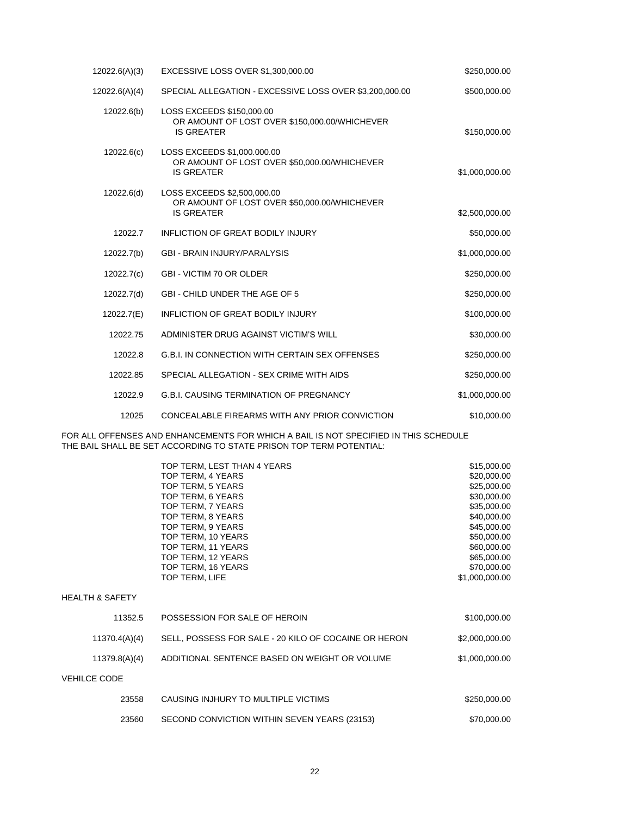| \$250,000.00   | EXCESSIVE LOSS OVER \$1,300,000.00                                                               | 12022.6(A)(3) |
|----------------|--------------------------------------------------------------------------------------------------|---------------|
| \$500,000.00   | SPECIAL ALLEGATION - EXCESSIVE LOSS OVER \$3,200,000.00                                          | 12022.6(A)(4) |
| \$150,000.00   | LOSS EXCEEDS \$150,000.00<br>OR AMOUNT OF LOST OVER \$150,000.00/WHICHEVER<br><b>IS GREATER</b>  | 12022.6(b)    |
| \$1,000,000.00 | LOSS EXCEEDS \$1,000.000.00<br>OR AMOUNT OF LOST OVER \$50,000.00/WHICHEVER<br><b>IS GREATER</b> | 12022.6(c)    |
| \$2,500,000.00 | LOSS EXCEEDS \$2,500,000.00<br>OR AMOUNT OF LOST OVER \$50,000.00/WHICHEVER<br><b>IS GREATER</b> | 12022.6(d)    |
| \$50,000.00    | <b>INFLICTION OF GREAT BODILY INJURY</b>                                                         | 12022.7       |
| \$1,000,000.00 | <b>GBI - BRAIN INJURY/PARALYSIS</b>                                                              | 12022.7(b)    |
| \$250,000.00   | <b>GBI - VICTIM 70 OR OLDER</b>                                                                  | 12022.7(c)    |
| \$250,000.00   | GBI - CHILD UNDER THE AGE OF 5                                                                   | 12022.7(d)    |
| \$100,000.00   | <b>INFLICTION OF GREAT BODILY INJURY</b>                                                         | 12022.7(E)    |
| \$30,000.00    | ADMINISTER DRUG AGAINST VICTIM'S WILL                                                            | 12022.75      |
| \$250,000.00   | G.B.I. IN CONNECTION WITH CERTAIN SEX OFFENSES                                                   | 12022.8       |
| \$250,000.00   | SPECIAL ALLEGATION - SEX CRIME WITH AIDS                                                         | 12022.85      |
| \$1,000,000.00 | <b>G.B.I. CAUSING TERMINATION OF PREGNANCY</b>                                                   | 12022.9       |
| \$10,000.00    | CONCEALABLE FIREARMS WITH ANY PRIOR CONVICTION                                                   | 12025         |

FOR ALL OFFENSES AND ENHANCEMENTS FOR WHICH A BAIL IS NOT SPECIFIED IN THIS SCHEDULE THE BAIL SHALL BE SET ACCORDING TO STATE PRISON TOP TERM POTENTIAL:

|                            | TOP TERM, LEST THAN 4 YEARS                          | \$15,000.00    |
|----------------------------|------------------------------------------------------|----------------|
|                            | TOP TERM, 4 YEARS                                    | \$20,000.00    |
|                            | TOP TERM, 5 YEARS                                    | \$25,000.00    |
|                            | TOP TERM, 6 YEARS                                    | \$30,000.00    |
|                            | TOP TERM, 7 YEARS                                    | \$35,000.00    |
|                            | TOP TERM, 8 YEARS                                    | \$40,000.00    |
|                            | TOP TERM, 9 YEARS                                    | \$45,000.00    |
|                            | TOP TERM, 10 YEARS                                   | \$50,000.00    |
|                            | TOP TERM, 11 YEARS                                   | \$60,000.00    |
|                            | TOP TERM, 12 YEARS                                   | \$65,000.00    |
|                            | TOP TERM, 16 YEARS                                   | \$70,000.00    |
|                            | TOP TERM, LIFE                                       | \$1,000,000.00 |
| <b>HEALTH &amp; SAFETY</b> |                                                      |                |
| 11352.5                    | POSSESSION FOR SALE OF HEROIN                        | \$100,000.00   |
| 11370.4(A)(4)              | SELL, POSSESS FOR SALE - 20 KILO OF COCAINE OR HERON | \$2,000,000.00 |
| 11379.8(A)(4)              | ADDITIONAL SENTENCE BASED ON WEIGHT OR VOLUME        | \$1,000,000.00 |
| <b>VEHILCE CODE</b>        |                                                      |                |
| 23558                      | CAUSING INJHURY TO MULTIPLE VICTIMS                  | \$250,000.00   |
| 23560                      | SECOND CONVICTION WITHIN SEVEN YEARS (23153)         | \$70,000.00    |